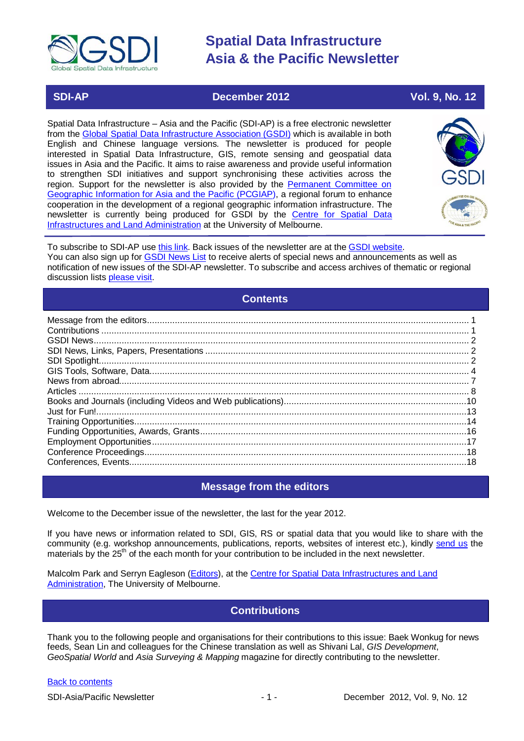

### **SDI-AP December 2012 Vol. 9, No. 12**

Spatial Data Infrastructure – Asia and the Pacific (SDI-AP) is a free electronic newsletter from the [Global Spatial Data Infrastructure Association \(GSDI\)](http://www.gsdi.org/) which is available in both English and Chinese language versions. The newsletter is produced for people interested in Spatial Data Infrastructure, GIS, remote sensing and geospatial data issues in Asia and the Pacific. It aims to raise awareness and provide useful information to strengthen SDI initiatives and support synchronising these activities across the region. Support for the newsletter is also provided by the Permanent Committee on [Geographic Information for Asia and the Pacific \(PCGIAP\)](http://www.pcgiap.org/), a regional forum to enhance cooperation in the development of a regional geographic information infrastructure. The newsletter is currently being produced for GSDI by the [Centre for Spatial Data](http://www.csdila.unimelb.edu.au/)  [Infrastructures and Land Administration](http://www.csdila.unimelb.edu.au/) at the University of Melbourne.



To subscribe to SDI-AP use [this link.](http://www.gsdi.org/newslist/gsdisubscribe.asp) Back issues of the newsletter are at the [GSDI website.](http://www.gsdi.org/newsletters.asp) You can also sign up for [GSDI News List](http://www.gsdi.org/newslist/gsdisubscribe.asp) to receive alerts of special news and announcements as well as notification of new issues of the SDI-AP newsletter. To subscribe and access archives of thematic or regional discussion lists [please visit.](http://www.gsdi.org/discussionlists.asp)

### **Contents**

<span id="page-0-0"></span>

### **Message from the editors**

<span id="page-0-1"></span>Welcome to the December issue of the newsletter, the last for the year 2012.

If you have news or information related to SDI, GIS, RS or spatial data that you would like to share with the community (e.g. workshop announcements, publications, reports, websites of interest etc.), kindly [send us](mailto:.SDI-AP@gsdi.org) the materials by the 25<sup>th</sup> of the each month for your contribution to be included in the next newsletter.

<span id="page-0-2"></span>Malcolm Park and Serryn Eagleson [\(Editors\)](mailto:Editor.SDIAP@gmail.com), at the [Centre for Spatial Data Infrastructures and Land](http://www.csdila.unimelb.edu.au/)  [Administration,](http://www.csdila.unimelb.edu.au/) The University of Melbourne.

### **Contributions**

Thank you to the following people and organisations for their contributions to this issue: Baek Wonkug for news feeds, Sean Lin and colleagues for the Chinese translation as well as Shivani Lal, *GIS Development*, *GeoSpatial World* and *Asia Surveying & Mapping* magazine for directly contributing to the newsletter.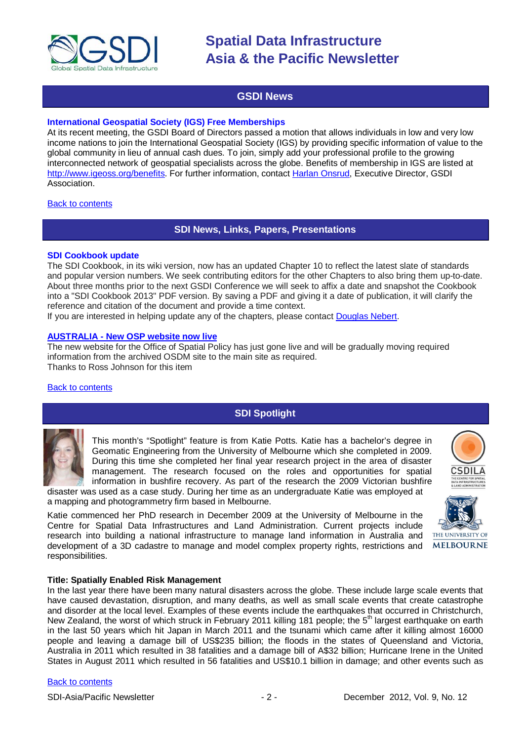

### **GSDI News**

#### <span id="page-1-0"></span>**International Geospatial Society (IGS) Free Memberships**

At its recent meeting, the GSDI Board of Directors passed a motion that allows individuals in low and very low income nations to join the International Geospatial Society (IGS) by providing specific information of value to the global community in lieu of annual cash dues. To join, simply add your professional profile to the growing interconnected network of geospatial specialists across the globe. Benefits of membership in IGS are listed at [http://www.igeoss.org/benefits.](https://owa.unimelb.edu.au/owa/redir.aspx?C=54c2b4d3973d480282dc7c38384f4204&URL=http%3a%2f%2fwww.igeoss.org%2fbenefits) For further information, contact [Harlan Onsrud,](mailto:onsrud@gsdi.org) Executive Director, GSDI Association.

#### <span id="page-1-1"></span>[Back to contents](#page-0-0)

### **SDI News, Links, Papers, Presentations**

#### **SDI Cookbook update**

The SDI Cookbook, in its wiki version, now has an updated Chapter 10 to reflect the latest slate of standards and popular version numbers. We seek contributing editors for the other Chapters to also bring them up-to-date. About three months prior to the next GSDI Conference we will seek to affix a date and snapshot the Cookbook into a "SDI Cookbook 2013" PDF version. By saving a PDF and giving it a date of publication, it will clarify the reference and citation of the document and provide a time context.

If you are interested in helping update any of the chapters, please contact [Douglas Nebert.](mailto:ddnebert@usgs.gov)

#### **AUSTRALIA - [New OSP website now live](http://spatial.gov.au/)**

The new website for the Office of Spatial Policy has just gone live and will be gradually moving required information from the archived OSDM site to the main site as required. Thanks to Ross Johnson for this item

#### <span id="page-1-2"></span>[Back to contents](#page-0-0)

### **SDI Spotlight**

This month's "Spotlight" feature is from Katie Potts. Katie has a bachelor's degree in Geomatic Engineering from the University of Melbourne which she completed in 2009. During this time she completed her final year research project in the area of disaster management. The research focused on the roles and opportunities for spatial information in bushfire recovery. As part of the research the 2009 Victorian bushfire

disaster was used as a case study. During her time as an undergraduate Katie was employed at a mapping and photogrammetry firm based in Melbourne.

Katie commenced her PhD research in December 2009 at the University of Melbourne in the Centre for Spatial Data Infrastructures and Land Administration. Current projects include research into building a national infrastructure to manage land information in Australia and development of a 3D cadastre to manage and model complex property rights, restrictions and responsibilities.





#### **Title: Spatially Enabled Risk Management**

In the last year there have been many natural disasters across the globe. These include large scale events that have caused devastation, disruption, and many deaths, as well as small scale events that create catastrophe and disorder at the local level. Examples of these events include the earthquakes that occurred in Christchurch, New Zealand, the worst of which struck in February 2011 killing 181 people; the 5<sup>th</sup> largest earthquake on earth in the last 50 years which hit Japan in March 2011 and the tsunami which came after it killing almost 16000 people and leaving a damage bill of US\$235 billion; the floods in the states of Queensland and Victoria, Australia in 2011 which resulted in 38 fatalities and a damage bill of A\$32 billion; Hurricane Irene in the United States in August 2011 which resulted in 56 fatalities and US\$10.1 billion in damage; and other events such as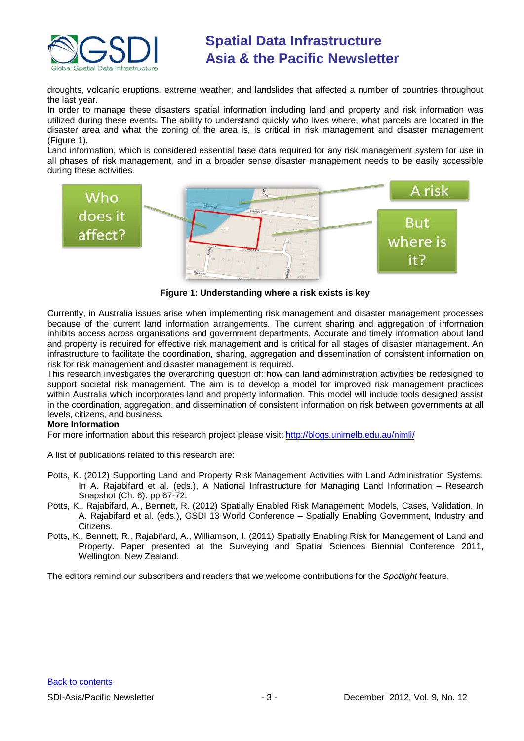

droughts, volcanic eruptions, extreme weather, and landslides that affected a number of countries throughout the last year.

In order to manage these disasters spatial information including land and property and risk information was utilized during these events. The ability to understand quickly who lives where, what parcels are located in the disaster area and what the zoning of the area is, is critical in risk management and disaster management (Figure 1).

Land information, which is considered essential base data required for any risk management system for use in all phases of risk management, and in a broader sense disaster management needs to be easily accessible during these activities.



**Figure 1: Understanding where a risk exists is key**

Currently, in Australia issues arise when implementing risk management and disaster management processes because of the current land information arrangements. The current sharing and aggregation of information inhibits access across organisations and government departments. Accurate and timely information about land and property is required for effective risk management and is critical for all stages of disaster management. An infrastructure to facilitate the coordination, sharing, aggregation and dissemination of consistent information on risk for risk management and disaster management is required.

This research investigates the overarching question of: how can land administration activities be redesigned to support societal risk management. The aim is to develop a model for improved risk management practices within Australia which incorporates land and property information. This model will include tools designed assist in the coordination, aggregation, and dissemination of consistent information on risk between governments at all levels, citizens, and business.

#### **More Information**

For more information about this research project please visit:<http://blogs.unimelb.edu.au/nimli/>

A list of publications related to this research are:

- Potts, K. (2012) Supporting Land and Property Risk Management Activities with Land Administration Systems. In A. Rajabifard et al. (eds.), A National Infrastructure for Managing Land Information – Research Snapshot (Ch. 6). pp 67-72.
- Potts, K., Rajabifard, A., Bennett, R. (2012) Spatially Enabled Risk Management: Models, Cases, Validation. In A. Rajabifard et al. (eds.), GSDI 13 World Conference – Spatially Enabling Government, Industry and Citizens.
- Potts, K., Bennett, R., Rajabifard, A., Williamson, I. (2011) Spatially Enabling Risk for Management of Land and Property. Paper presented at the Surveying and Spatial Sciences Biennial Conference 2011, Wellington, New Zealand.

The editors remind our subscribers and readers that we welcome contributions for the *Spotlight* feature.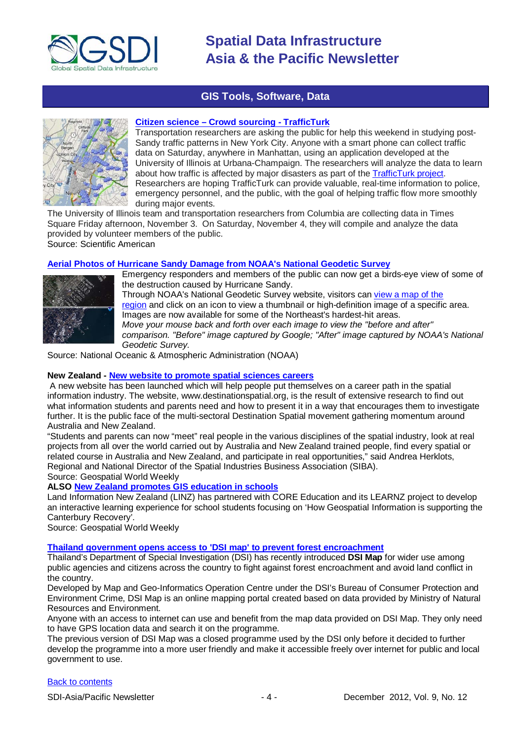

### **GIS Tools, Software, Data**

<span id="page-3-0"></span>

#### **Citizen science – [Crowd sourcing -](http://www.scientificamerican.com/citizen-science/project.cfm?id=trafficturk-illinois-manhattan) TrafficTurk**

Transportation researchers are asking the public for help this weekend in studying post-Sandy traffic patterns in New York City. Anyone with a smart phone can collect traffic data on Saturday, anywhere in Manhattan, using an application developed at the University of Illinois at Urbana-Champaign. The researchers will analyze the data to learn about how traffic is affected by major disasters as part of the [TrafficTurk](http://trafficturk.com/participate) project. Researchers are hoping TrafficTurk can provide valuable, real-time information to police, emergency personnel, and the public, with the goal of helping traffic flow more smoothly during major events.

The University of Illinois team and transportation researchers from Columbia are collecting data in Times Square Friday afternoon, November 3. On Saturday, November 4, they will compile and analyze the data provided by volunteer members of the public. Source: Scientific American

#### **[Aerial Photos of Hurricane Sandy Damage from NOAA's National Geodetic Survey](http://oceanservice.noaa.gov/news/weeklynews/nov12/ngs-sandy-imagery.html)**



Emergency responders and members of the public can now get a birds-eye view of some of the destruction caused by Hurricane Sandy. Through NOAA's National Geodetic Survey website, visitors can [view a map of the](http://storms.ngs.noaa.gov/storms/sandy/)  [region](http://storms.ngs.noaa.gov/storms/sandy/) and click on an icon to view a thumbnail or high-definition image of a specific area. Images are now available for some of the Northeast's hardest-hit areas. *Move your mouse back and forth over each image to view the "before and after" comparison. "Before" image captured by Google; "After" image captured by NOAA's National Geodetic Survey.*

Source: National Oceanic & Atmospheric Administration (NOAA)

#### **New Zealand - [New website to promote spatial sciences careers](http://beta.geospatialworld.net/News/View.aspx?ID=25770_Article)**

A new website has been launched which will help people put themselves on a career path in the spatial information industry. The website, www.destinationspatial.org, is the result of extensive research to find out what information students and parents need and how to present it in a way that encourages them to investigate further. It is the public face of the multi-sectoral Destination Spatial movement gathering momentum around Australia and New Zealand.

"Students and parents can now "meet" real people in the various disciplines of the spatial industry, look at real projects from all over the world carried out by Australia and New Zealand trained people, find every spatial or related course in Australia and New Zealand, and participate in real opportunities," said Andrea Herklots, Regional and National Director of the Spatial Industries Business Association (SIBA). Source: Geospatial World Weekly

**ALSO [New Zealand promotes GIS education in schools](http://www.geospatialworld.net/News/View.aspx?ID=25886_Article)**

Land Information New Zealand (LINZ) has partnered with CORE Education and its LEARNZ project to develop an interactive learning experience for school students focusing on 'How Geospatial Information is supporting the Canterbury Recovery'.

Source: Geospatial World Weekly

**[Thailand government opens access to 'DSI map' to prevent forest encroachment](http://www.futuregov.asia/articles/2012/nov/08/thailand-prevents-forest-encroachment-gis-map/)**

Thailand's Department of Special Investigation (DSI) has recently introduced **DSI Map** for wider use among public agencies and citizens across the country to fight against forest encroachment and avoid land conflict in the country.

Developed by Map and Geo-Informatics Operation Centre under the DSI's Bureau of Consumer Protection and Environment Crime, DSI Map is an online mapping portal created based on data provided by Ministry of Natural Resources and Environment.

Anyone with an access to internet can use and benefit from the map data provided on DSI Map. They only need to have GPS location data and search it on the programme.

The previous version of DSI Map was a closed programme used by the DSI only before it decided to further develop the programme into a more user friendly and make it accessible freely over internet for public and local government to use.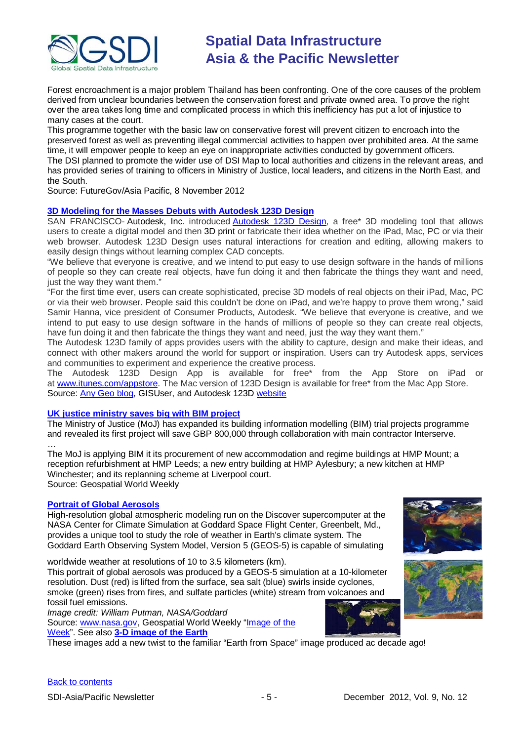

Forest encroachment is a major problem Thailand has been confronting. One of the core causes of the problem derived from unclear boundaries between the conservation forest and private owned area. To prove the right over the area takes long time and complicated process in which this inefficiency has put a lot of injustice to many cases at the court.

This programme together with the basic law on conservative forest will prevent citizen to encroach into the preserved forest as well as preventing illegal commercial activities to happen over prohibited area. At the same time, it will empower people to keep an eye on inappropriate activities conducted by government officers. The DSI planned to promote the wider use of DSI Map to local authorities and citizens in the relevant areas, and has provided series of training to officers in Ministry of Justice, local leaders, and citizens in the North East, and the South.

Source: FutureGov/Asia Pacific, 8 November 2012

#### **[3D Modeling for the Masses Debuts with Autodesk 123D Design](http://www.gisuser.com/content/view/28271/2/)**

SAN FRANCISCO- Autodesk, Inc. introduced [Autodesk 123D Design,](http://www.123dapp.com/design) a free\* 3D modeling tool that allows users to create a digital model and then 3D print or fabricate their idea whether on the iPad, Mac, PC or via their web browser. Autodesk 123D Design uses natural interactions for creation and editing, allowing makers to easily design things without learning complex CAD concepts.

"We believe that everyone is creative, and we intend to put easy to use design software in the hands of millions of people so they can create real objects, have fun doing it and then fabricate the things they want and need, just the way they want them."

"For the first time ever, users can create sophisticated, precise 3D models of real objects on their iPad, Mac, PC or via their web browser. People said this couldn't be done on iPad, and we're happy to prove them wrong," said Samir Hanna, vice president of Consumer Products, Autodesk. "We believe that everyone is creative, and we intend to put easy to use design software in the hands of millions of people so they can create real objects, have fun doing it and then fabricate the things they want and need, just the way they want them."

The Autodesk 123D family of apps provides users with the ability to capture, design and make their ideas, and connect with other makers around the world for support or inspiration. Users can try Autodesk apps, services and communities to experiment and experience the creative process.

The Autodesk 123D Design App is available for free\* from the App Store on iPad or at [www.itunes.com/appstore.](http://www.itunes.com/appstore) The Mac version of 123D Design is available for free\* from the Mac App Store. Source: [Any Geo blog,](http://blog.gisuser.com/2012/11/08/3d-modeling-with-123d-design-for-ipad-mac-pc-or-web-browser/) GISUser, and Autodesk 123D [website](http://www.123dapp.com/design)

#### **[UK justice ministry saves big with BIM project](http://beta.geospatialworld.net/News/View.aspx?ID=25789_Article)**

The Ministry of Justice (MoJ) has expanded its building information modelling (BIM) trial projects programme and revealed its first project will save GBP 800,000 through collaboration with main contractor Interserve.

… The MoJ is applying BIM it its procurement of new accommodation and regime buildings at HMP Mount; a reception refurbishment at HMP Leeds; a new entry building at HMP Aylesbury; a new kitchen at HMP Winchester; and its replanning scheme at Liverpool court. Source: Geospatial World Weekly

#### **[Portrait of Global Aerosols](http://www.nasa.gov/multimedia/imagegallery/iotd.html)**

High-resolution global atmospheric modeling run on the Discover supercomputer at the NASA Center for Climate Simulation at Goddard Space Flight Center, Greenbelt, Md., provides a unique tool to study the role of weather in Earth's climate system. The Goddard Earth Observing System Model, Version 5 (GEOS-5) is capable of simulating

worldwide weather at resolutions of 10 to 3.5 kilometers (km).

This portrait of global aerosols was produced by a GEOS-5 simulation at a 10-kilometer resolution. Dust (red) is lifted from the surface, sea salt (blue) swirls inside cyclones, smoke (green) rises from fires, and sulfate particles (white) stream from volcanoes and fossil fuel emissions.







[Back to contents](#page-0-0)

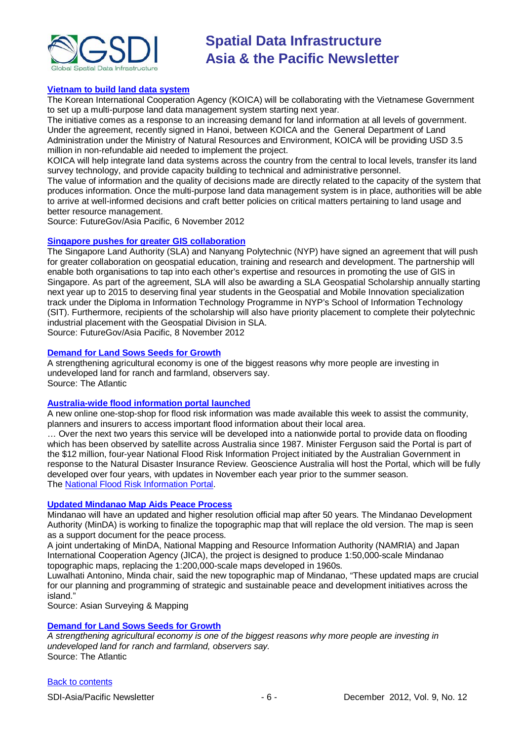

#### **[Vietnam to build land data system](http://www.futuregov.asia/articles/2012/nov/06/vietnam-build-land-data-system/)**

The Korean International Cooperation Agency (KOICA) will be collaborating with the Vietnamese Government to set up a multi-purpose land data management system starting next year.

The initiative comes as a response to an increasing demand for land information at all levels of government. Under the agreement, recently signed in Hanoi, between KOICA and the General Department of Land Administration under the Ministry of Natural Resources and Environment, KOICA will be providing USD 3.5 million in non-refundable aid needed to implement the project.

KOICA will help integrate land data systems across the country from the central to local levels, transfer its land survey technology, and provide capacity building to technical and administrative personnel.

The value of information and the quality of decisions made are directly related to the capacity of the system that produces information. Once the multi-purpose land data management system is in place, authorities will be able to arrive at well-informed decisions and craft better policies on critical matters pertaining to land usage and better resource management.

Source: FutureGov/Asia Pacific, 6 November 2012

#### **[Singapore pushes for greater GIS collaboration](http://www.futuregov.asia/articles/2012/nov/08/Singapore-pushes-for-greater-GIS-collaboration/)**

The Singapore Land Authority (SLA) and Nanyang Polytechnic (NYP) have signed an agreement that will push for greater collaboration on geospatial education, training and research and development. The partnership will enable both organisations to tap into each other's expertise and resources in promoting the use of GIS in Singapore. As part of the agreement, SLA will also be awarding a SLA Geospatial Scholarship annually starting next year up to 2015 to deserving final year students in the Geospatial and Mobile Innovation specialization track under the Diploma in Information Technology Programme in NYP's School of Information Technology (SIT). Furthermore, recipients of the scholarship will also have priority placement to complete their polytechnic industrial placement with the Geospatial Division in SLA. Source: FutureGov/Asia Pacific, 8 November 2012

#### **[Demand for Land Sows Seeds for Growth](http://www.theatlantic.com/sponsored/bank-of-america/archive/2012/11/demand-for-land-sows-seeds-for-growth/265410/)**

A strengthening agricultural economy is one of the biggest reasons why more people are investing in undeveloped land for ranch and farmland, observers say. Source: The Atlantic

### **[Australia-wide flood information portal launched](http://www.spatialsource.com.au/2012/11/20/article/Australia-wide-flood-information-portal-launched/CRDYKKUQYU.html)**

A new online one-stop-shop for flood risk information was made available this week to assist the community, planners and insurers to access important flood information about their local area.

… Over the next two years this service will be developed into a nationwide portal to provide data on flooding which has been observed by satellite across Australia since 1987. Minister Ferguson said the Portal is part of the \$12 million, four-year National Flood Risk Information Project initiated by the Australian Government in response to the Natural Disaster Insurance Review. Geoscience Australia will host the Portal, which will be fully developed over four years, with updates in November each year prior to the summer season. The [National Flood Risk Information Portal.](http://www.ga.gov.au/flood-study-search/?)

#### **[Updated Mindanao Map Aids Peace Process](http://www.asmmag.com/201211224494/new-mindanao-map.html)**

Mindanao will have an updated and higher resolution official map after 50 years. The Mindanao Development Authority (MinDA) is working to finalize the topographic map that will replace the old version. The map is seen as a support document for the peace process.

A joint undertaking of MinDA, National Mapping and Resource Information Authority (NAMRIA) and Japan International Cooperation Agency (JICA), the project is designed to produce 1:50,000-scale Mindanao topographic maps, replacing the 1:200,000-scale maps developed in 1960s.

Luwalhati Antonino, Minda chair, said the new topographic map of Mindanao, "These updated maps are crucial for our planning and programming of strategic and sustainable peace and development initiatives across the island."

Source: Asian Surveying & Mapping

#### **[Demand for Land Sows Seeds for Growth](http://www.theatlantic.com/sponsored/bank-of-america/archive/2012/11/demand-for-land-sows-seeds-for-growth/265410/)**

*A strengthening agricultural economy is one of the biggest reasons why more people are investing in undeveloped land for ranch and farmland, observers say.* Source: The Atlantic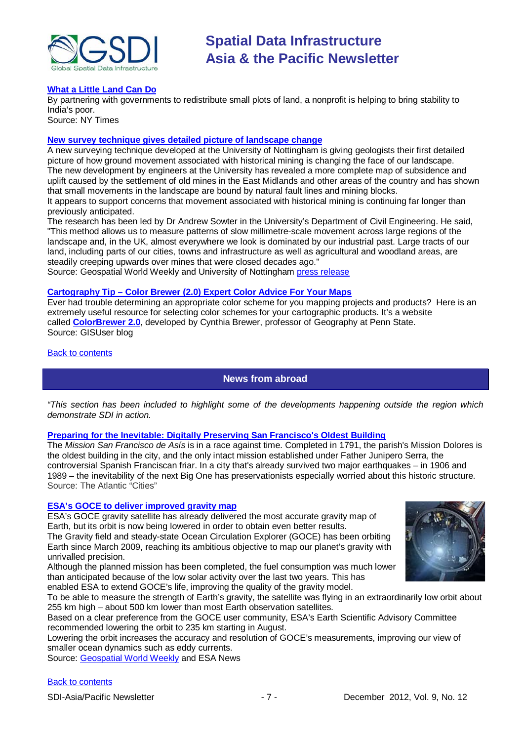

#### **[What a Little Land Can Do](http://opinionator.blogs.nytimes.com/2012/11/21/what-a-little-land-can-do/)**

By partnering with governments to redistribute small plots of land, a nonprofit is helping to bring stability to India's poor.

Source: NY Times

#### **[New survey technique gives detailed picture of landscape change](http://geospatialworld.net/News/View.aspx?ID=25907_Article)**

A new surveying technique developed at the University of Nottingham is giving geologists their first detailed picture of how ground movement associated with historical mining is changing the face of our landscape. The new development by engineers at the University has revealed a more complete map of subsidence and uplift caused by the settlement of old mines in the East Midlands and other areas of the country and has shown that small movements in the landscape are bound by natural fault lines and mining blocks. It appears to support concerns that movement associated with historical mining is continuing far longer than previously anticipated.

The research has been led by Dr Andrew Sowter in the University's Department of Civil Engineering. He said, "This method allows us to measure patterns of slow millimetre-scale movement across large regions of the landscape and, in the UK, almost everywhere we look is dominated by our industrial past. Large tracts of our land, including parts of our cities, towns and infrastructure as well as agricultural and woodland areas, are steadily creeping upwards over mines that were closed decades ago."

Source: Geospatial World Weekly and University of Nottingham [press release](http://www.nottingham.ac.uk/news/pressreleases/2012/november/what-lies-beneath-new-survey-technique-offers-detailed-picture-of-our-changing-landscape.aspx)

#### **Cartography Tip – [Color Brewer \(2.0\) Expert Color Advice For Your Maps](http://blog.gisuser.com/2012/11/26/cartography-tip-color-brewer-2-0-expert-color-advice-for-your-maps/)**

Ever had trouble determining an appropriate color scheme for you mapping projects and products? Here is an extremely useful resource for selecting color schemes for your cartographic products. It's a website called **[ColorBrewer 2.0](http://colorbrewer2.org/)**, developed by Cynthia Brewer, professor of Geography at Penn State. Source: GISUser blog

<span id="page-6-0"></span>[Back to contents](#page-0-0)

### **News from abroad**

*"This section has been included to highlight some of the developments happening outside the region which demonstrate SDI in action.*

#### **[Preparing for the Inevitable: Digitally Preserving San Francisco's Oldest Building](http://www.theatlanticcities.com/arts-and-lifestyle/2012/11/preparing-inevitable-digitally-preserving-san-franciscos-oldest-building/3941/)**

The *Mission San Francisco de Asís* is in a race against time. Completed in 1791, the parish's Mission Dolores is the oldest building in the city, and the only intact mission established under Father Junipero Serra, the controversial Spanish Franciscan friar. In a city that's already survived two major earthquakes – in 1906 and 1989 – the inevitability of the next Big One has preservationists especially worried about this historic structure. Source: The Atlantic "Cities"

#### **[ESA's GOCE to deliver improved gravity map](http://www.esa.int/esaCP/SEMFCFGPI9H_index_0.html)**

ESA's GOCE gravity satellite has already delivered the most accurate gravity map of Earth, but its orbit is now being lowered in order to obtain even better results. The Gravity field and steady-state Ocean Circulation Explorer (GOCE) has been orbiting

Earth since March 2009, reaching its ambitious objective to map our planet's gravity with unrivalled precision.

Although the planned mission has been completed, the fuel consumption was much lower than anticipated because of the low solar activity over the last two years. This has enabled ESA to extend GOCE's life, improving the quality of the gravity model.



To be able to measure the strength of Earth's gravity, the satellite was flying in an extraordinarily low orbit about 255 km high – about 500 km lower than most Earth observation satellites.

Based on a clear preference from the GOCE user community, ESA's Earth Scientific Advisory Committee recommended lowering the orbit to 235 km starting in August.

Lowering the orbit increases the accuracy and resolution of GOCE's measurements, improving our view of smaller ocean dynamics such as eddy currents.

Source: [Geospatial World Weekly](http://geospatialworld.net/News/View.aspx?ID=25895_Article) and ESA News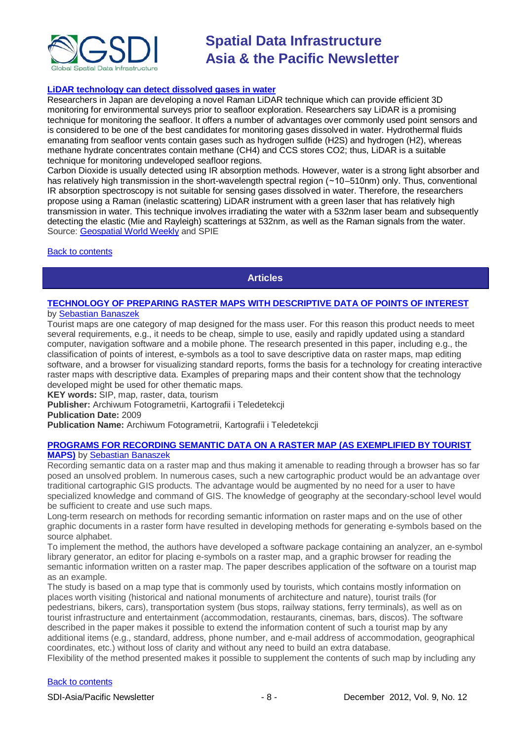

#### **[LiDAR technology can detect dissolved gases in water](http://spie.org/x91033.xml?highlight=x2420&ArticleID=x91033)**

Researchers in Japan are developing a novel Raman LiDAR technique which can provide efficient 3D monitoring for environmental surveys prior to seafloor exploration. Researchers say LiDAR is a promising technique for monitoring the seafloor. It offers a number of advantages over commonly used point sensors and is considered to be one of the best candidates for monitoring gases dissolved in water. Hydrothermal fluids emanating from seafloor vents contain gases such as hydrogen sulfide (H2S) and hydrogen (H2), whereas methane hydrate concentrates contain methane (CH4) and CCS stores CO2; thus, LiDAR is a suitable technique for monitoring undeveloped seafloor regions.

Carbon Dioxide is usually detected using IR absorption methods. However, water is a strong light absorber and has relatively high transmission in the short-wavelength spectral region (∼10–510nm) only. Thus, conventional IR absorption spectroscopy is not suitable for sensing gases dissolved in water. Therefore, the researchers propose using a Raman (inelastic scattering) LiDAR instrument with a green laser that has relatively high transmission in water. This technique involves irradiating the water with a 532nm laser beam and subsequently detecting the elastic (Mie and Rayleigh) scatterings at 532nm, as well as the Raman signals from the water. Source: [Geospatial World Weekly](http://geospatialworld.net/News/View.aspx?ID=25910_Article) and SPIE

<span id="page-7-0"></span>[Back to contents](#page-0-0)

**Articles**

#### **[TECHNOLOGY OF PREPARING RASTER MAPS WITH DESCRIPTIVE DATA OF POINTS OF INTEREST](http://www.academia.edu/2100599/TECHNOLOGY_OF_PREPARING_RASTER_MAPS_WITH_DESCRIPTIVE_DATA_OF_POINTS_OF_INTEREST_TECHNOLOGIA_OPRACOWANIA_RASTROWYCH_MAP_TURYSTYCZNYCH_Z_DANYMI_OPISOWYMI_OBIEKTOW)** by [Sebastian Banaszek](http://uwm-pl.academia.edu/SebastianBanaszek)

Tourist maps are one category of map designed for the mass user. For this reason this product needs to meet several requirements, e.g., it needs to be cheap, simple to use, easily and rapidly updated using a standard computer, navigation software and a mobile phone. The research presented in this paper, including e.g., the classification of points of interest, e-symbols as a tool to save descriptive data on raster maps, map editing software, and a browser for visualizing standard reports, forms the basis for a technology for creating interactive raster maps with descriptive data. Examples of preparing maps and their content show that the technology developed might be used for other thematic maps.

**KEY words:** SIP, map, raster, data, tourism

**Publisher:** Archiwum Fotogrametrii, Kartografii i Teledetekcji

**Publication Date:** 2009

**Publication Name:** Archiwum Fotogrametrii, Kartografii i Teledetekcji

## **[PROGRAMS FOR RECORDING SEMANTIC DATA ON A RASTER MAP \(AS EXEMPLIFIED BY TOURIST](http://www.academia.edu/2100614/PROGRAMS_FOR_RECORDING_SEMANTIC_DATA_ON_A_RASTER_MAP_AS_EXEMPLIFIED_BY_TOURIST_MAPS_OPROGRAMOWANIE_DO_ZAPISYWANIA_DANYCH_OPISOWYCH_NA_MAPIE_RASTROWEJ_NA_PRZYKLADZIE_MAP_TURYSTYCZNYCH_)**

#### **[MAPS\)](http://www.academia.edu/2100614/PROGRAMS_FOR_RECORDING_SEMANTIC_DATA_ON_A_RASTER_MAP_AS_EXEMPLIFIED_BY_TOURIST_MAPS_OPROGRAMOWANIE_DO_ZAPISYWANIA_DANYCH_OPISOWYCH_NA_MAPIE_RASTROWEJ_NA_PRZYKLADZIE_MAP_TURYSTYCZNYCH_)** by [Sebastian Banaszek](http://uwm-pl.academia.edu/SebastianBanaszek)

Recording semantic data on a raster map and thus making it amenable to reading through a browser has so far posed an unsolved problem. In numerous cases, such a new cartographic product would be an advantage over traditional cartographic GIS products. The advantage would be augmented by no need for a user to have specialized knowledge and command of GIS. The knowledge of geography at the secondary-school level would be sufficient to create and use such maps.

Long-term research on methods for recording semantic information on raster maps and on the use of other graphic documents in a raster form have resulted in developing methods for generating e-symbols based on the source alphabet.

To implement the method, the authors have developed a software package containing an analyzer, an e-symbol library generator, an editor for placing e-symbols on a raster map, and a graphic browser for reading the semantic information written on a raster map. The paper describes application of the software on a tourist map as an example.

The study is based on a map type that is commonly used by tourists, which contains mostly information on places worth visiting (historical and national monuments of architecture and nature), tourist trails (for pedestrians, bikers, cars), transportation system (bus stops, railway stations, ferry terminals), as well as on tourist infrastructure and entertainment (accommodation, restaurants, cinemas, bars, discos). The software described in the paper makes it possible to extend the information content of such a tourist map by any additional items (e.g., standard, address, phone number, and e-mail address of accommodation, geographical coordinates, etc.) without loss of clarity and without any need to build an extra database.

Flexibility of the method presented makes it possible to supplement the contents of such map by including any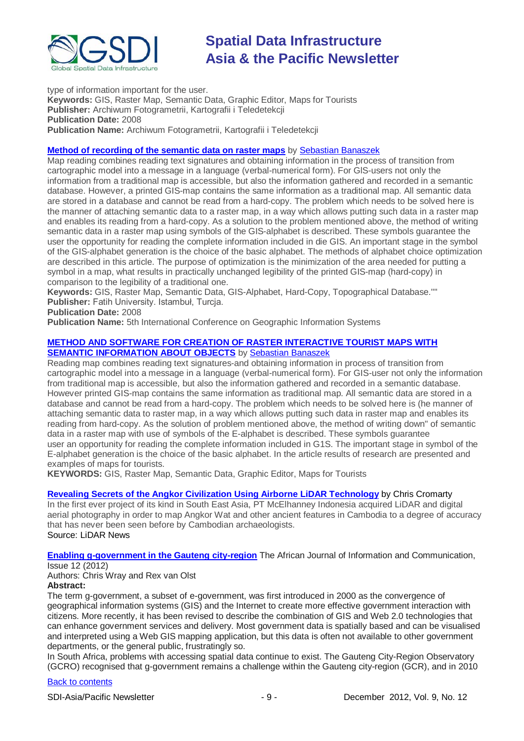

type of information important for the user. **Keywords:** GIS, Raster Map, Semantic Data, Graphic Editor, Maps for Tourists **Publisher:** Archiwum Fotogrametrii, Kartografii i Teledetekcji **Publication Date:** 2008 **Publication Name:** Archiwum Fotogrametrii, Kartografii i Teledetekcji

#### **[Method of recording of the semantic data on raster maps](http://www.academia.edu/2111937/Method_of_recording_of_the_semantic_data_on_raster_maps)** by [Sebastian](http://uwm-pl.academia.edu/SebastianBanaszek) Banaszek

Map reading combines reading text signatures and obtaining information in the process of transition from cartographic model into a message in a language (verbal-numerical form). For GlS-users not only the information from a traditional map is accessible, but also the information gathered and recorded in a semantic database. However, a printed GIS-map contains the same information as a traditional map. All semantic data are stored in a database and cannot be read from a hard-copy. The problem which needs to be solved here is the manner of attaching semantic data to a raster map, in a way which allows putting such data in a raster map and enables its reading from a hard-copy. As a solution to the problem mentioned above, the method of writing semantic data in a raster map using symbols of the GIS-alphabet is described. These symbols guarantee the user the opportunity for reading the complete information included in die GIS. An important stage in the symbol of the GIS-alphabet generation is the choice of the basic alphabet. The methods of alphabet choice optimization are described in this article. The purpose of optimization is the minimization of the area needed for putting a symbol in a map, what results in practically unchanged legibility of the printed GIS-map (hard-copy) in comparison to the legibility of a traditional one.

**Keywords:** GIS, Raster Map, Semantic Data, GIS-Alphabet, Hard-Copy, Topographical Database."" **Publisher:** Fatih University. Istambuł, Turcja.

**Publication Date:** 2008

**Publication Name:** 5th International Conference on Geographic Information Systems

#### **[METHOD AND SOFTWARE FOR CREATION OF RASTER INTERACTIVE TOURIST MAPS WITH](http://www.academia.edu/2122841/METHOD_AND_SOFTWARE_FOR_CREATION_OF_RASTER_INTERACTIVE_TOURIST_MAPS_WITH_SEMANTIC_INFORMATION_ABOUT_OBJECTS_)  [SEMANTIC INFORMATION ABOUT OBJECTS](http://www.academia.edu/2122841/METHOD_AND_SOFTWARE_FOR_CREATION_OF_RASTER_INTERACTIVE_TOURIST_MAPS_WITH_SEMANTIC_INFORMATION_ABOUT_OBJECTS_)** by [Sebastian](http://uwm-pl.academia.edu/SebastianBanaszek) Banaszek

Reading map combines reading text signatures-and obtaining information in process of transition from cartographic model into a message in a language (verbal-numerical form). For GIS-user not only the information from traditional map is accessible, but also the information gathered and recorded in a semantic database. However printed GIS-map contains the same information as traditional map. All semantic data are stored in a database and cannot be read from a hard-copy. The problem which needs to be solved here is (he manner of attaching semantic data to raster map, in a way which allows putting such data in raster map and enables its reading from hard-copy. As the solution of problem mentioned above, the method of writing down" of semantic data in a raster map with use of symbols of the E-alphabet is described. These symbols guarantee user an opportunity for reading the complete information included in G1S. The important stage in symbol of the E-alphabet generation is the choice of the basic alphabet. In the article results of research are presented and examples of maps for tourists.

**KEYWORDS:** GIS, Raster Map, Semantic Data, Graphic Editor, Maps for Tourists

#### **[Revealing Secrets of the Angkor Civilization Using Airborne LiDAR Technology](http://www.lidarnews.com/content/view/9332/136/)** by Chris Cromarty

In the first ever project of its kind in South East Asia, PT McElhanney Indonesia acquired LiDAR and digital aerial photography in order to map Angkor Wat and other ancient features in Cambodia to a degree of accuracy that has never been seen before by Cambodian archaeologists.

Source: LiDAR News

**[Enabling g-government in the Gauteng city-region](http://link.wits.ac.za/journal/AJIC12-Wray.pdf)** The African Journal of Information and Communication, Issue 12 (2012)

Authors: Chris Wray and Rex van Olst

### **Abstract:**

The term g-government, a subset of e-government, was first introduced in 2000 as the convergence of geographical information systems (GIS) and the Internet to create more effective government interaction with citizens. More recently, it has been revised to describe the combination of GIS and Web 2.0 technologies that can enhance government services and delivery. Most government data is spatially based and can be visualised and interpreted using a Web GIS mapping application, but this data is often not available to other government departments, or the general public, frustratingly so.

In South Africa, problems with accessing spatial data continue to exist. The Gauteng City-Region Observatory (GCRO) recognised that g-government remains a challenge within the Gauteng city-region (GCR), and in 2010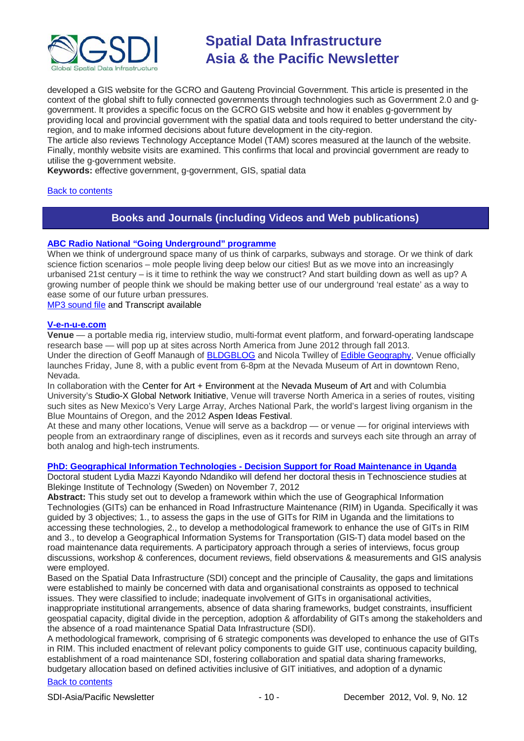

developed a GIS website for the GCRO and Gauteng Provincial Government. This article is presented in the context of the global shift to fully connected governments through technologies such as Government 2.0 and ggovernment. It provides a specific focus on the GCRO GIS website and how it enables g-government by providing local and provincial government with the spatial data and tools required to better understand the cityregion, and to make informed decisions about future development in the city-region.

The article also reviews Technology Acceptance Model (TAM) scores measured at the launch of the website. Finally, monthly website visits are examined. This confirms that local and provincial government are ready to utilise the g-government website.

**Keywords:** effective government, g-government, GIS, spatial data

#### <span id="page-9-0"></span>[Back to contents](#page-0-0)

## **Books and Journals (including Videos and Web publications)**

#### **ABC Radio [National "Going Underground" programme](http://www.abc.net.au/radionational/programs/futuretense/going-underground/4341332)**

When we think of underground space many of us think of carparks, subways and storage. Or we think of dark science fiction scenarios – mole people living deep below our cities! But as we move into an increasingly urbanised 21st century – is it time to rethink the way we construct? And start building down as well as up? A growing number of people think we should be making better use of our underground 'real estate' as a way to ease some of our future urban pressures.

[MP3 sound file](http://mpegmedia.abc.net.au/rn/podcast/2012/11/fte_20121104_1130.mp3) and Transcript available

#### **[V-e-n-u-e.com](http://v-e-n-u-e.com/About)**

**Venue** — a portable media rig, interview studio, multi-format event platform, and forward-operating landscape research base — will pop up at sites across North America from June 2012 through fall 2013. Under the direction of Geoff Manaugh of [BLDGBLOG](http://bldgblog.blogspot.com/) and Nicola Twilley of [Edible Geography,](http://www.ediblegeography.com/) Venue officially launches Friday, June 8, with a public event from 6-8pm at the Nevada Museum of Art in downtown Reno, Nevada.

In collaboration with the Center for Art + Environment at the Nevada Museum of Art and with Columbia University's Studio-X Global Network Initiative, Venue will traverse North America in a series of routes, visiting such sites as New Mexico's Very Large Array, Arches National Park, the world's largest living organism in the Blue Mountains of Oregon, and the 2012 Aspen Ideas Festival.

At these and many other locations, Venue will serve as a backdrop — or venue — for original interviews with people from an extraordinary range of disciplines, even as it records and surveys each site through an array of both analog and high-tech instruments.

#### **PhD: Geographical Information Technologies - [Decision Support for Road Maintenance in Uganda](https://www.bth.se/tks/teknovet.nsf/bilagor/Lydia%20phd%20version%204%20121010_1_pdf/$file/Lydia%20phd%20version%204%20121010_1.pdf)**

Doctoral student Lydia Mazzi Kayondo Ndandiko will defend her doctoral thesis in Technoscience studies at Blekinge Institute of Technology (Sweden) on November 7, 2012

**Abstract:** This study set out to develop a framework within which the use of Geographical Information Technologies (GITs) can be enhanced in Road Infrastructure Maintenance (RIM) in Uganda. Specifically it was guided by 3 objectives; 1., to assess the gaps in the use of GITs for RIM in Uganda and the limitations to accessing these technologies, 2., to develop a methodological framework to enhance the use of GITs in RIM and 3., to develop a Geographical Information Systems for Transportation (GIS-T) data model based on the road maintenance data requirements. A participatory approach through a series of interviews, focus group discussions, workshop & conferences, document reviews, field observations & measurements and GIS analysis were employed.

Based on the Spatial Data Infrastructure (SDI) concept and the principle of Causality, the gaps and limitations were established to mainly be concerned with data and organisational constraints as opposed to technical issues. They were classified to include; inadequate involvement of GITs in organisational activities, inappropriate institutional arrangements, absence of data sharing frameworks, budget constraints, insufficient

geospatial capacity, digital divide in the perception, adoption & affordability of GITs among the stakeholders and the absence of a road maintenance Spatial Data Infrastructure (SDI).

A methodological framework, comprising of 6 strategic components was developed to enhance the use of GITs in RIM. This included enactment of relevant policy components to guide GIT use, continuous capacity building, establishment of a road maintenance SDI, fostering collaboration and spatial data sharing frameworks, budgetary allocation based on defined activities inclusive of GIT initiatives, and adoption of a dynamic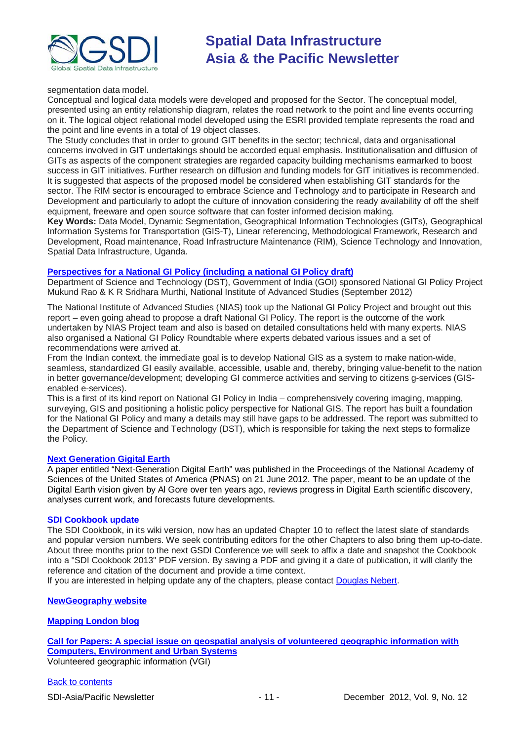

segmentation data model.

Conceptual and logical data models were developed and proposed for the Sector. The conceptual model, presented using an entity relationship diagram, relates the road network to the point and line events occurring on it. The logical object relational model developed using the ESRI provided template represents the road and the point and line events in a total of 19 object classes.

The Study concludes that in order to ground GIT benefits in the sector; technical, data and organisational concerns involved in GIT undertakings should be accorded equal emphasis. Institutionalisation and diffusion of GITs as aspects of the component strategies are regarded capacity building mechanisms earmarked to boost success in GIT initiatives. Further research on diffusion and funding models for GIT initiatives is recommended. It is suggested that aspects of the proposed model be considered when establishing GIT standards for the sector. The RIM sector is encouraged to embrace Science and Technology and to participate in Research and Development and particularly to adopt the culture of innovation considering the ready availability of off the shelf equipment, freeware and open source software that can foster informed decision making.

**Key Words:** Data Model, Dynamic Segmentation, Geographical Information Technologies (GITs), Geographical Information Systems for Transportation (GIS-T), Linear referencing, Methodological Framework, Research and Development, Road maintenance, Road Infrastructure Maintenance (RIM), Science Technology and Innovation, Spatial Data Infrastructure, Uganda.

#### **[Perspectives for a National GI Policy \(including a national GI Policy draft\)](http://www.nias.res.in/docs/R11-2012-Mukund%20Rao.pdf)**

Department of Science and Technology (DST), Government of India (GOI) sponsored National GI Policy Project Mukund Rao & K R Sridhara Murthi, National Institute of Advanced Studies (September 2012)

The National Institute of Advanced Studies (NIAS) took up the National GI Policy Project and brought out this report – even going ahead to propose a draft National GI Policy. The report is the outcome of the work undertaken by NIAS Project team and also is based on detailed consultations held with many experts. NIAS also organised a National GI Policy Roundtable where experts debated various issues and a set of recommendations were arrived at.

From the Indian context, the immediate goal is to develop National GIS as a system to make nation-wide, seamless, standardized GI easily available, accessible, usable and, thereby, bringing value-benefit to the nation in better governance/development; developing GI commerce activities and serving to citizens g-services (GISenabled e-services).

This is a first of its kind report on National GI Policy in India – comprehensively covering imaging, mapping, surveying, GIS and positioning a holistic policy perspective for National GIS. The report has built a foundation for the National GI Policy and many a details may still have gaps to be addressed. The report was submitted to the Department of Science and Technology (DST), which is responsible for taking the next steps to formalize the Policy.

#### **[Next Generation Gigital Earth](http://www.pnas.org/content/early/2012/06/20/1202383109.full.pdf+html)**

A paper entitled "Next-Generation Digital Earth" was published in the Proceedings of the National Academy of Sciences of the United States of America (PNAS) on 21 June 2012. The paper, meant to be an update of the Digital Earth vision given by Al Gore over ten years ago, reviews progress in Digital Earth scientific discovery, analyses current work, and forecasts future developments.

#### **SDI Cookbook update**

The SDI Cookbook, in its wiki version, now has an updated Chapter 10 to reflect the latest slate of standards and popular version numbers. We seek contributing editors for the other Chapters to also bring them up-to-date. About three months prior to the next GSDI Conference we will seek to affix a date and snapshot the Cookbook into a "SDI Cookbook 2013" PDF version. By saving a PDF and giving it a date of publication, it will clarify the reference and citation of the document and provide a time context.

If you are interested in helping update any of the chapters, please contact [Douglas Nebert.](mailto:ddnebert@usgs.gov)

#### **[NewGeography website](http://www.newgeography.com/)**

#### **[Mapping London blog](http://mappinglondon.co.uk/)**

**[Call for Papers: A special issue on geospatial analysis of volunteered geographic information with](http://www.journals.elsevier.com/computers-environment-and-urban-systems/call-for-papers/call-for-papers-a-special-issue-on-geospatial/)  [Computers, Environment and Urban Systems](http://www.journals.elsevier.com/computers-environment-and-urban-systems/call-for-papers/call-for-papers-a-special-issue-on-geospatial/)** Volunteered geographic information (VGI)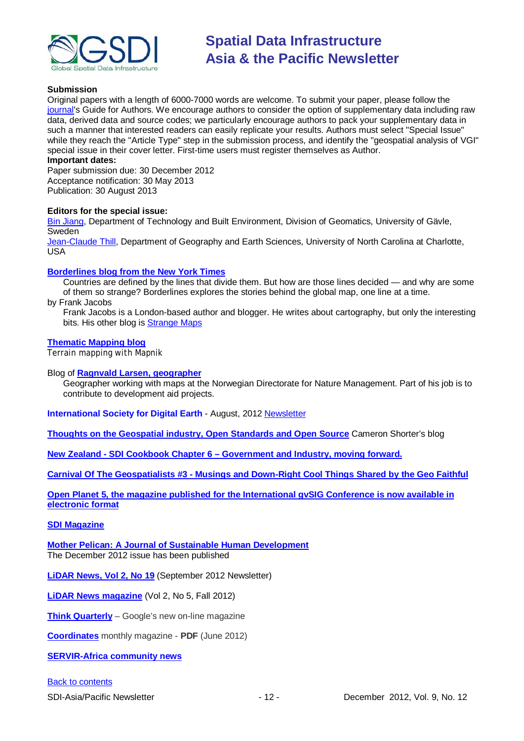

#### **Submission**

Original papers with a length of 6000-7000 words are welcome. To submit your paper, please follow the [journal's](http://ees.elsevier.com/ceus/) Guide for Authors. We encourage authors to consider the option of supplementary data including raw data, derived data and source codes; we particularly encourage authors to pack your supplementary data in such a manner that interested readers can easily replicate your results. Authors must select "Special Issue" while they reach the "Article Type" step in the submission process, and identify the "geospatial analysis of VGI" special issue in their cover letter. First-time users must register themselves as Author.

#### **Important dates:**

Paper submission due: 30 December 2012 Acceptance notification: 30 May 2013 Publication: 30 August 2013

#### **Editors for the special issue:**

[Bin Jiang,](mailto:bin.jiang@hig.se) Department of Technology and Built Environment, Division of Geomatics, University of Gävle, **Sweden** 

[Jean-Claude Thill,](mailto:Jean-Claude.Thill@uncc.edu) Department of Geography and Earth Sciences, University of North Carolina at Charlotte, USA

#### **[Borderlines blog from the New York Times](http://opinionator.blogs.nytimes.com/category/borderlines/)**

Countries are defined by the lines that divide them. But how are those lines decided — and why are some of them so strange? Borderlines explores the stories behind the global map, one line at a time.

by Frank Jacobs

Frank Jacobs is a London-based author and blogger. He writes about cartography, but only the interesting bits. His other blog is **Strange Maps** 

#### **[Thematic Mapping blog](http://blog.thematicmapping.org/)**

Terrain mapping with Mapnik

#### Blog of **[Ragnvald Larsen, geographer](http://www.mindland.com/wp/)**

Geographer working with maps at the Norwegian Directorate for Nature Management. Part of his job is to contribute to development aid projects.

**International Society for Digital Earth** - August, 2012 [Newsletter](http://www.digitalearth-isde.org/news/isde-newsletter(201208).html)

**[Thoughts on the Geospatial industry, Open Standards and Open Source](http://cameronshorter.blogspot.com/2011/06/memoirs-of-cat-herder-coordinating.html)** Cameron Shorter's blog

**New Zealand - SDI Cookbook Chapter 6 – [Government and Industry, moving forward.](http://www.geospatial.govt.nz/sdi-cookbook-chapter-6-government-and-industry-moving-forward)**

**Carnival Of The Geospatialists #3 - [Musings and Down-Right Cool Things Shared by the Geo Faithful](http://www.gisuser.com/content/view/25690/28/)**

**[Open Planet 5, the magazine published for the International gvSIG Conference is now available in](http://jornadas.gvsig.org/descargas/magazine)  [electronic format](http://jornadas.gvsig.org/descargas/magazine)**

#### **[SDI Magazine](http://www.sdimag.com/)**

**[Mother Pelican: A Journal of Sustainable Human Development](http://www.pelicanweb.org/solisustv08n12page1.html)** The December 2012 issue has been published

**[LiDAR News, Vol 2, No 19](http://www.lidarnews.com/newsletter/Vol2No19.htm)** (September 2012 Newsletter)

**[LiDAR News magazine](http://lidarnews.com/emag/2012/vol2no5/index.html)** (Vol 2, No 5, Fall 2012)

**[Think Quarterly](http://thinkquarterly.co.uk/#aboutthebook)** – Google's new on-line magazine

**[Coordinates](http://mycoordinates.org/pdf/jun12.pdf)** monthly magazine - **PDF** (June 2012)

**[SERVIR-Africa community news](http://www.servirglobal.net/africa/en/News/CommunityNews.aspx)**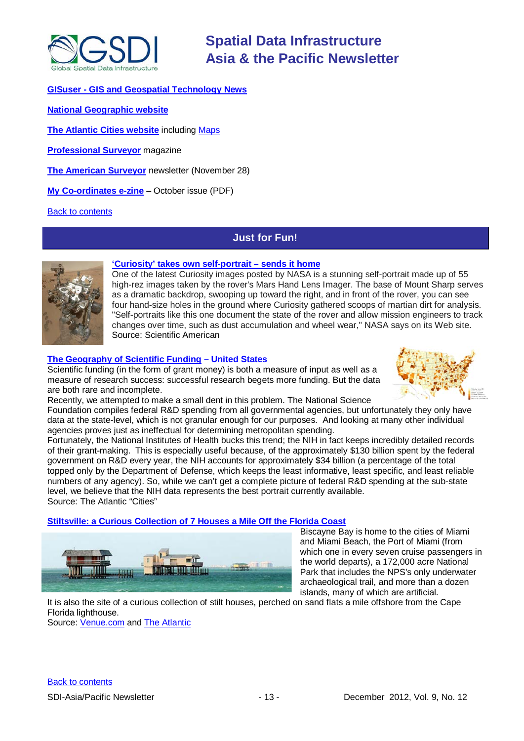

#### **GISuser - [GIS and Geospatial Technology News](http://www.gisuser.com/)**

**[National Geographic website](http://www.nationalgeographic.com/)**

**[The Atlantic Cities website](http://www.theatlanticcities.com/)** including [Maps](http://www.theatlanticcities.com/posts/map/)

**[Professional Surveyor](http://www.profsurv.com/)** magazine

**[The American Surveyor](http://www.amerisurv.com/newsletter/28NOV2012.htm)** newsletter (November 28)

**[My Co-ordinates e-zine](http://mycoordinates.org/pdf/oct12.pdf)** – October issue (PDF)

<span id="page-12-0"></span>[Back to contents](#page-0-0)

### **Just for Fun!**



#### **['Curiosity' takes own self-portrait](http://www.scientificamerican.com/article.cfm?id=latest-curiosity-image-perhaps-best-2012-11&WT.mc_id=SA_CAT_TECH_20121106) – sends it home**

One of the latest Curiosity images posted by NASA is a stunning self-portrait made up of 55 high-rez images taken by the rover's Mars Hand Lens Imager. The base of Mount Sharp serves as a dramatic backdrop, swooping up toward the right, and in front of the rover, you can see four hand-size holes in the ground where Curiosity gathered scoops of martian dirt for analysis. "Self-portraits like this one document the state of the rover and allow mission engineers to track changes over time, such as dust accumulation and wheel wear," NASA says on its Web site. Source: Scientific American

#### **The Geography of [Scientific Funding](http://www.theatlanticcities.com/jobs-and-economy/2012/11/needlessly-inscrutable-geography-scientific-funding/3720/) – United States**

Scientific funding (in the form of grant money) is both a measure of input as well as a measure of research success: successful research begets more funding. But the data are both rare and incomplete.



Recently, we attempted to make a small dent in this problem. The National Science

Foundation compiles federal R&D spending from all governmental agencies, but unfortunately they only have data at the state-level, which is not granular enough for our purposes. And looking at many other individual agencies proves just as ineffectual for determining metropolitan spending.

Fortunately, the National Institutes of Health bucks this trend; the NIH in fact keeps incredibly detailed records of their grant-making. This is especially useful because, of the approximately \$130 billion spent by the federal government on R&D every year, the NIH accounts for approximately \$34 billion (a percentage of the total topped only by the Department of Defense, which keeps the least informative, least specific, and least reliable numbers of any agency). So, while we can't get a complete picture of federal R&D spending at the sub-state level, we believe that the NIH data represents the best portrait currently available. Source: The Atlantic "Cities"

#### **[Stiltsville: a Curious Collection of 7 Houses a Mile Off the Florida Coast](http://v-e-n-u-e.com/Stiltsville)**



Biscayne Bay is home to the cities of Miami and Miami Beach, the Port of Miami (from which one in every seven cruise passengers in the world departs), a 172,000 acre National Park that includes the NPS's only underwater archaeological trail, and more than a dozen islands, many of which are artificial.

It is also the site of a curious collection of stilt houses, perched on sand flats a mile offshore from the [Cape](http://en.wikipedia.org/wiki/Cape_Florida_Light)  [Florida lighthouse.](http://en.wikipedia.org/wiki/Cape_Florida_Light)

Source: [Venue.com](http://v-e-n-u-e.com/About) and [The Atlantic](http://www.theatlantic.com/technology/archive/2012/11/welcome-to-stiltsville-a-curious-collection-of-7-houses-a-mile-off-the-florida-coast/265559/)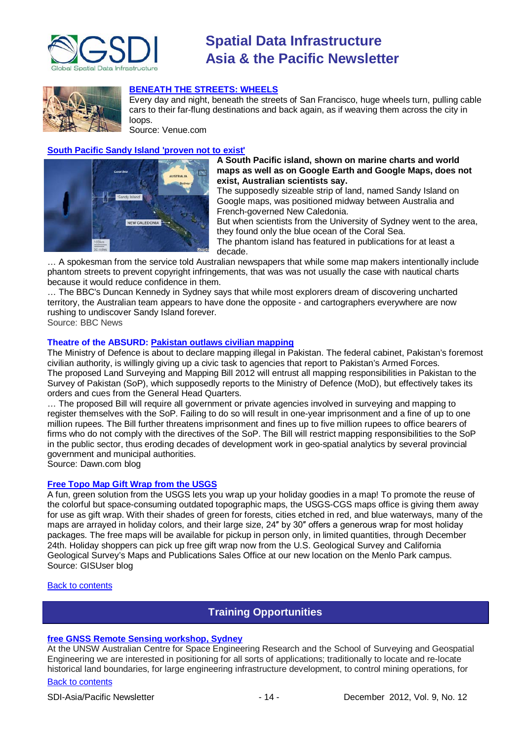

## **[BENEATH THE STREETS:](http://v-e-n-u-e.com/Beneath-the-Streets-Wheels) WHEELS**



Every day and night, beneath the streets of San Francisco, huge wheels turn, pulling cable cars to their far-flung destinations and back again, as if weaving them across the city in loops.

Source: Venue.com

#### **[South Pacific Sandy Island 'proven not to exist'](http://www.bbc.co.uk/news/world-asia-20442487)**



#### **A South Pacific island, shown on marine charts and world maps as well as on Google Earth and Google Maps, does not exist, Australian scientists say.**

The supposedly sizeable strip of land, named Sandy Island on Google maps, was positioned midway between Australia and French-governed New Caledonia.

But when scientists from the University of Sydney went to the area, they found only the blue ocean of the Coral Sea.

The phantom island has featured in publications for at least a decade.

… A spokesman from the service told Australian newspapers that while some map makers intentionally include phantom streets to prevent copyright infringements, that was was not usually the case with nautical charts because it would reduce confidence in them.

… The BBC's Duncan Kennedy in Sydney says that while most explorers dream of discovering uncharted territory, the Australian team appears to have done the opposite - and cartographers everywhere are now rushing to undiscover Sandy Island forever.

Source: BBC News

### **Theatre of the ABSURD: [Pakistan outlaws civilian mapping](http://dawn.com/2012/11/21/pakistanis-lost-without-maps/)**

The Ministry of Defence is about to declare mapping illegal in Pakistan. The federal cabinet, Pakistan's foremost civilian authority, is willingly giving up a civic task to agencies that report to Pakistan's Armed Forces. The proposed Land Surveying and Mapping Bill 2012 will entrust all mapping responsibilities in Pakistan to the Survey of Pakistan (SoP), which supposedly reports to the Ministry of Defence (MoD), but effectively takes its orders and cues from the General Head Quarters.

… The proposed Bill will require all government or private agencies involved in surveying and mapping to register themselves with the SoP. Failing to do so will result in one-year imprisonment and a fine of up to one million rupees. The Bill further threatens imprisonment and fines up to five million rupees to office bearers of firms who do not comply with the directives of the SoP. The Bill will restrict mapping responsibilities to the SoP in the public sector, thus eroding decades of development work in geo-spatial analytics by several provincial government and municipal authorities.

Source: Dawn.com blog

#### **[Free Topo Map Gift Wrap from the USGS](http://blog.gisuser.com/2012/11/26/free-topo-map-gift-wrap-from-the-usgs/)**

A fun, green solution from the USGS lets you wrap up your holiday goodies in a map! To promote the reuse of the colorful but space-consuming outdated topographic maps, the USGS-CGS maps office is giving them away for use as gift wrap. With their shades of green for forests, cities etched in red, and blue waterways, many of the maps are arrayed in holiday colors, and their large size, 24″ by 30″ offers a generous wrap for most holiday packages. The free maps will be available for pickup in person only, in limited quantities, through December 24th. Holiday shoppers can pick up free gift wrap now from the U.S. Geological Survey and California Geological Survey's Maps and Publications Sales Office at our new location on the Menlo Park campus. Source: GISUser blog

#### <span id="page-13-0"></span>[Back to contents](#page-0-0)

## **Training Opportunities**

### **[free GNSS Remote Sensing workshop, Sydney](http://www.acser.unsw.edu.au/events/gnss_workshop.html)**

At the UNSW Australian Centre for Space Engineering Research and the School of Surveying and Geospatial Engineering we are interested in positioning for all sorts of applications; traditionally to locate and re-locate historical land boundaries, for large engineering infrastructure development, to control mining operations, for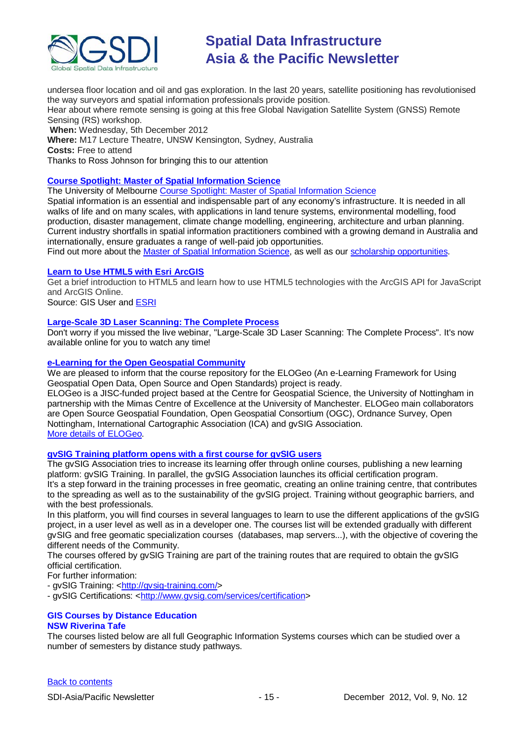

undersea floor location and oil and gas exploration. In the last 20 years, satellite positioning has revolutionised the way surveyors and spatial information professionals provide position.

Hear about where remote sensing is going at this free Global Navigation Satellite System (GNSS) Remote Sensing (RS) workshop.

**When:** Wednesday, 5th December 2012

**Where:** M17 Lecture Theatre, UNSW Kensington, Sydney, Australia **Costs:** Free to attend

Thanks to Ross Johnson for bringing this to our attention

### **[Course Spotlight: Master of Spatial Information Science](http://themelbourneengineer.eng.unimelb.edu.au/2012/02/course-spotlight-master-of-spatial-information-science/)**

The University of Melbourne [Course Spotlight: Master of Spatial Information Science](http://themelbourneengineer.eng.unimelb.edu.au/2012/02/course-spotlight-master-of-spatial-information-science/)

Spatial information is an essential and indispensable part of any economy's infrastructure. It is needed in all walks of life and on many scales, with applications in land tenure systems, environmental modelling, food production, disaster management, climate change modelling, engineering, architecture and urban planning. Current industry shortfalls in spatial information practitioners combined with a growing demand in Australia and internationally, ensure graduates a range of well-paid job opportunities.

Find out more about the [Master of Spatial Information Science,](http://www.msi.unimelb.edu.au/study/graduate/master-of-spatial-information-science/) as well as our [scholarship opportunities.](http://www.eng.unimelb.edu.au/study/graduate/scholarships.html)

#### **[Learn to Use HTML5 with Esri ArcGIS](http://www.gisuser.com/content/view/25915/2/)**

Get a brief introduction to HTML5 and learn how to use HTML5 technologies with the ArcGIS API for JavaScript and ArcGIS Online.

Source: GIS User and [ESRI](http://training.esri.com/Gateway/index.cfm?fa=seminars.gateway)

#### **[Large-Scale 3D Laser Scanning: The Complete Process](http://www.faro.com/site/resources/details/1373?CampaignId=70170000000bbwr)**

Don't worry if you missed the live webinar, "Large-Scale 3D Laser Scanning: The Complete Process". It's now available online for you to watch any time!

#### **[e-Learning for the Open Geospatial Community](http://elogeo.nottingham.ac.uk/xmlui)**

We are pleased to inform that the course repository for the ELOGeo (An e-Learning Framework for Using Geospatial Open Data, Open Source and Open Standards) project is ready.

ELOGeo is a JISC-funded project based at the Centre for Geospatial Science, the University of Nottingham in partnership with the Mimas Centre of Excellence at the University of Manchester. ELOGeo main collaborators are Open Source Geospatial Foundation, Open Geospatial Consortium (OGC), Ordnance Survey, Open Nottingham, International Cartographic Association (ICA) and gvSIG Association. [More details of ELOGeo.](http://elogeo.nottingham.ac.uk/index.html)

#### **gvSIG Training platform opens with a first course for gvSIG users**

The gvSIG Association tries to increase its learning offer through online courses, publishing a new learning platform: gvSIG Training. In parallel, the gvSIG Association launches its official certification program. It's a step forward in the training processes in free geomatic, creating an online training centre, that contributes to the spreading as well as to the sustainability of the gvSIG project. Training without geographic barriers, and with the best professionals.

In this platform, you will find courses in several languages to learn to use the different applications of the gvSIG project, in a user level as well as in a developer one. The courses list will be extended gradually with different gvSIG and free geomatic specialization courses (databases, map servers...), with the objective of covering the different needs of the Community.

The courses offered by gvSIG Training are part of the training routes that are required to obtain the gvSIG official certification.

For further information:

- gvSIG Training: [<http://gvsig-training.com/>](http://gvsig-training.com/)

- gvSIG Certifications: [<http://www.gvsig.com/services/certification>](http://www.gvsig.com/services/certification)

#### **GIS Courses by Distance Education NSW Riverina Tafe**

The courses listed below are all full Geographic Information Systems courses which can be studied over a number of semesters by distance study pathways.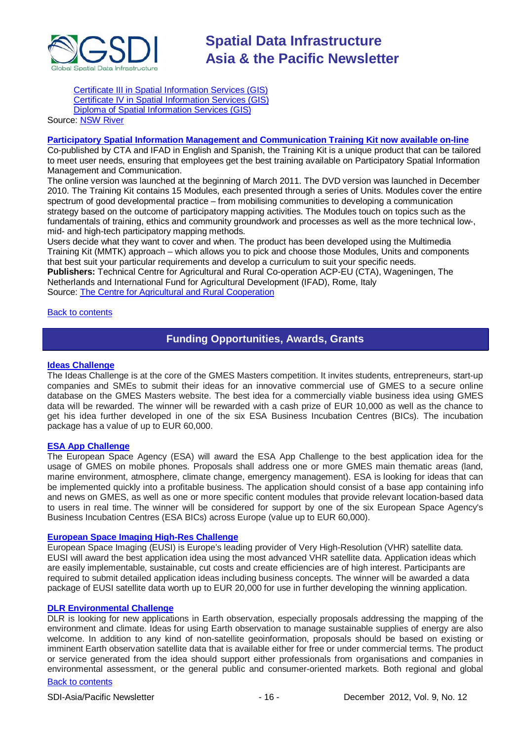

[Certificate III in Spatial Information Services \(GIS\)](http://www.rit.tafensw.edu.au/nec/nrme/giscourses#Cert III in Spatial Information Services (CPP30109)) [Certificate IV in Spatial Information Services \(GIS\)](http://www.rit.tafensw.edu.au/nec/nrme/giscourses#Cert IV in Spatial Information Services (CPP40209)) [Diploma of Spatial Information Services \(GIS\)](http://www.rit.tafensw.edu.au/nec/nrme/giscourses#Diploma of Spatial Information Services (CPP50207))

### Sourc[e: NSW River](http://www.rit.tafensw.edu.au/nec/nrme/giscourses)

#### **[Participatory Spatial Information Management and Communication Training Kit now available on-line](http://pgis-tk-en.cta.int/)**

Co-published by CTA and IFAD in English and Spanish, the Training Kit is a unique product that can be tailored to meet user needs, ensuring that employees get the best training available on Participatory Spatial Information Management and Communication.

The [online version](http://pgis-tk.cta.int/) was launched at the beginning of March 2011. The DVD version was launched in December 2010. The Training Kit contains 15 Modules, each presented through a series of Units. Modules cover the entire spectrum of good developmental practice – from mobilising communities to developing a communication strategy based on the outcome of participatory mapping activities. The Modules touch on topics such as the fundamentals of training, ethics and community groundwork and processes as well as the more technical low-, mid- and high-tech participatory mapping methods.

Users decide what they want to cover and when. The product has been developed using the Multimedia Training Kit (MMTK) approach – which allows you to pick and choose those Modules, Units and components that best suit your particular requirements and develop a curriculum to suit your specific needs. **Publishers:** Technical Centre for Agricultural and Rural Co-operation ACP-EU (CTA), Wageningen, The

Netherlands and International Fund for Agricultural Development (IFAD), Rome, Italy Source: [The Centre for Agricultural and Rural Cooperation](http://www.cta.int/en/About-us/Who-we-are)

<span id="page-15-0"></span>[Back to contents](#page-0-0)

### **Funding Opportunities, Awards, Grants**

#### **[Ideas Challenge](http://www.gmes-masters.com/ideas-challenge)**

The Ideas Challenge is at the core of the GMES Masters competition. It invites students, entrepreneurs, start-up companies and SMEs to submit their ideas for an innovative commercial use of GMES to a secure online database on the GMES Masters website. The best idea for a commercially viable business idea using GMES data will be rewarded. The winner will be rewarded with a cash prize of EUR 10,000 as well as the chance to get his idea further developed in one of the six ESA Business Incubation Centres (BICs). The incubation package has a value of up to EUR 60,000.

#### **[ESA App Challenge](http://www.gmes-masters.com/esa-app-challenge)**

The European Space Agency (ESA) will award the ESA App Challenge to the best application idea for the usage of GMES on mobile phones. Proposals shall address one or more GMES main thematic areas (land, marine environment, atmosphere, climate change, emergency management). ESA is looking for ideas that can be implemented quickly into a profitable business. The application should consist of a base app containing info and news on GMES, as well as one or more specific content modules that provide relevant location-based data to users in real time. The winner will be considered for support by one of the six European Space Agency's Business Incubation Centres (ESA BICs) across Europe (value up to EUR 60,000).

#### **[European Space Imaging High-Res Challenge](http://www.gmes-masters.com/european-space-0)**

European Space Imaging (EUSI) is Europe's leading provider of Very High-Resolution (VHR) satellite data. EUSI will award the best application idea using the most advanced VHR satellite data. Application ideas which are easily implementable, sustainable, cut costs and create efficiencies are of high interest. Participants are required to submit detailed application ideas including business concepts. The winner will be awarded a data package of EUSI satellite data worth up to EUR 20,000 for use in further developing the winning application.

#### **[DLR Environmental Challenge](http://www.gmes-masters.com/dlr-environmental)**

DLR is looking for new applications in Earth observation, especially proposals addressing the mapping of the environment and climate. Ideas for using Earth observation to manage sustainable supplies of energy are also welcome. In addition to any kind of non-satellite geoinformation, proposals should be based on existing or imminent Earth observation satellite data that is available either for free or under commercial terms. The product or service generated from the idea should support either professionals from organisations and companies in environmental assessment, or the general public and consumer-oriented markets. Both regional and global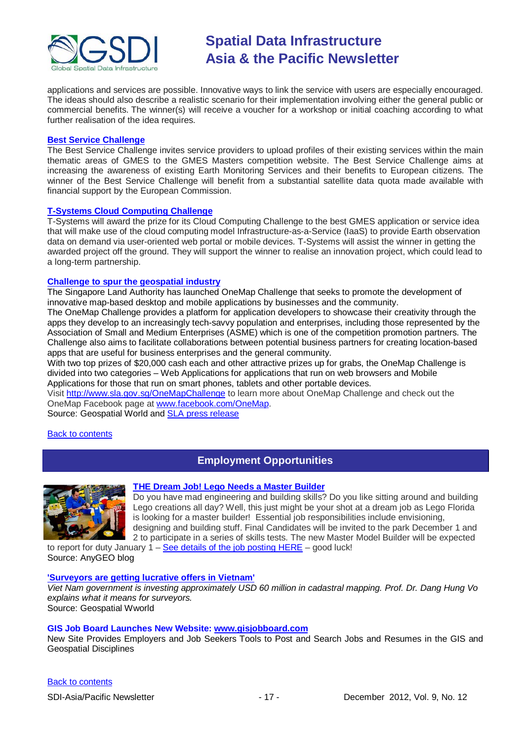

applications and services are possible. Innovative ways to link the service with users are especially encouraged. The ideas should also describe a realistic scenario for their implementation involving either the general public or commercial benefits. The winner(s) will receive a voucher for a workshop or initial coaching according to what further realisation of the idea requires.

#### **[Best Service Challenge](http://www.gmes-masters.com/best-service)**

The Best Service Challenge invites service providers to upload profiles of their existing services within the main thematic areas of GMES to the GMES Masters competition website. The Best Service Challenge aims at increasing the awareness of existing Earth Monitoring Services and their benefits to European citizens. The winner of the Best Service Challenge will benefit from a substantial satellite data quota made available with financial support by the European Commission.

#### **[T-Systems Cloud Computing Challenge](http://www.gmes-masters.com/t-systems-cloud)**

T-Systems will award the prize for its Cloud Computing Challenge to the best GMES application or service idea that will make use of the cloud computing model Infrastructure-as-a-Service (IaaS) to provide Earth observation data on demand via user-oriented web portal or mobile devices. T-Systems will assist the winner in getting the awarded project off the ground. They will support the winner to realise an innovation project, which could lead to a long-term partnership.

#### **[Challenge to spur the geospatial industry](http://geospatialworld.net/index.php?option=com_content&view=article&id=23850:challenge-to-spur-the-geospatial-industry&catid=75:miscellaneous-events)**

The Singapore Land Authority has launched OneMap Challenge that seeks to promote the development of innovative map-based desktop and mobile applications by businesses and the community.

The OneMap Challenge provides a platform for application developers to showcase their creativity through the apps they develop to an increasingly tech-savvy population and enterprises, including those represented by the Association of Small and Medium Enterprises (ASME) which is one of the competition promotion partners. The Challenge also aims to facilitate collaborations between potential business partners for creating location-based apps that are useful for business enterprises and the general community.

With two top prizes of \$20,000 cash each and other attractive prizes up for grabs, the OneMap Challenge is divided into two categories – Web Applications for applications that run on web browsers and Mobile Applications for those that run on smart phones, tablets and other portable devices.

Visit <http://www.sla.gov.sg/OneMapChallenge> to learn more about OneMap Challenge and check out the OneMap Facebook page at [www.facebook.com/OneMap.](http://www.facebook.com/OneMap)

Source: Geospatial World and [SLA press release](http://www.sla.gov.sg/htm/new/new2012/new0401.htm)

<span id="page-16-0"></span>[Back to contents](#page-0-0)

### **Employment Opportunities**



#### **THE Dream Job! Lego Needs a Master Builder**

Do you have mad engineering and building skills? Do you like sitting around and building Lego creations all day? Well, this just might be your shot at a dream job as Lego Florida is looking for a master builder! Essential job responsibilities include envisioning, designing and building stuff. Final Candidates will be invited to the park December 1 and 2 to participate in a series of skills tests. The new Master Model Builder will be expected

to report for duty January  $1 -$  See details of the job [posting](http://florida.legoland.com/MMB) HERE – good luck! Source: AnyGEO blog

#### **['Surveyors are getting lucrative offers in Vietnam'](http://www.geospatialworld.net/index.php?option=com_interview&int=1&view=managetemplate&id=255&Itemid=644)**

*Viet Nam government is investing approximately USD 60 million in cadastral mapping. Prof. Dr. Dang Hung Vo explains what it means for surveyors.* Source: Geospatial Wworld

#### **GIS Job Board Launches New Website: [www.gisjobboard.com](http://www.gisjobboard.com/)**

New Site Provides Employers and Job Seekers Tools to Post and Search Jobs and Resumes in the GIS and Geospatial Disciplines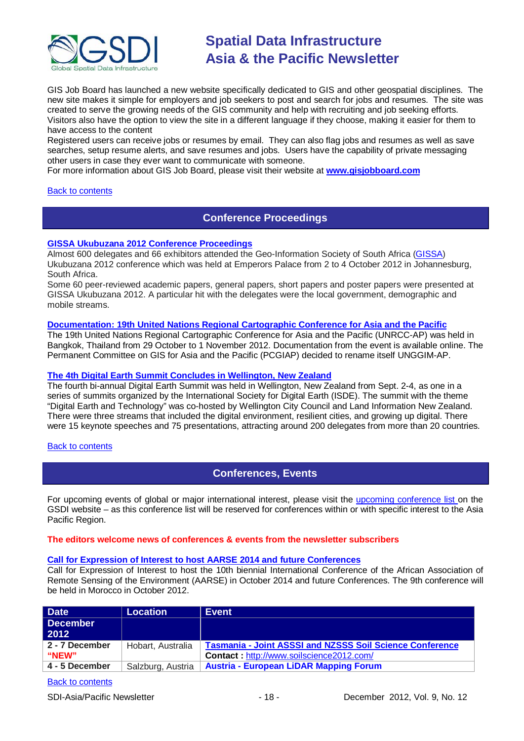

GIS Job Board has launched a new website specifically dedicated to GIS and other geospatial disciplines. The new site makes it simple for employers and job seekers to post and search for jobs and resumes. The site was created to serve the growing needs of the GIS community and help with recruiting and job seeking efforts. Visitors also have the option to view the site in a different language if they choose, making it easier for them to have access to the content

Registered users can receive jobs or resumes by email. They can also flag jobs and resumes as well as save searches, setup resume alerts, and save resumes and jobs. Users have the capability of private messaging other users in case they ever want to communicate with someone.

For more information about GIS Job Board, please visit their website at **[www.gisjobboard.com](http://www.gisjobboard.com/)**

#### <span id="page-17-0"></span>[Back to contents](#page-0-0)

### **Conference Proceedings**

#### **[GISSA Ukubuzana 2012 Conference Proceedings](http://www.eepublishers.co.za/article/gissa-ukubuzana-2012-conference-proceedings.html)**

Almost 600 delegates and 66 exhibitors attended the Geo-Information Society of South Africa [\(GISSA\)](http://www.gissa.org.za/) Ukubuzana 2012 conference which was held at Emperors Palace from 2 to 4 October 2012 in Johannesburg, South Africa.

Some 60 peer-reviewed academic papers, general papers, short papers and poster papers were presented at GISSA Ukubuzana 2012. A particular hit with the delegates were the local government, demographic and mobile streams.

#### **Documentation: [19th United Nations Regional Cartographic Conference for Asia and the Pacific](http://unstats.un.org/unsd/geoinfo/RCC/unrccap19.html?)**

The 19th United Nations Regional Cartographic Conference for Asia and the Pacific (UNRCC-AP) was held in Bangkok, Thailand from 29 October to 1 November 2012. Documentation from the event is available online. The Permanent Committee on GIS for Asia and the Pacific (PCGIAP) decided to rename itself UNGGIM-AP.

#### **[The 4th Digital Earth Summit Concludes in Wellington, New Zealand](http://digitalearth-isde.org/news/367)**

The fourth bi-annual Digital Earth Summit was held in Wellington, New Zealand from Sept. 2-4, as one in a series of summits organized by the International Society for Digital Earth (ISDE). The summit with the theme "Digital Earth and Technology" was co-hosted by Wellington City Council and Land Information New Zealand. There were three streams that included the digital environment, resilient cities, and growing up digital. There were 15 keynote speeches and 75 presentations, attracting around 200 delegates from more than 20 countries.

#### <span id="page-17-1"></span>[Back to contents](#page-0-0)

### **Conferences, Events**

For upcoming events of global or major international interest, please visit the [upcoming conference list o](http://gsdi.org/events/upcnf.asp)n the GSDI website – as this conference list will be reserved for conferences within or with specific interest to the Asia Pacific Region.

#### **The editors welcome news of conferences & events from the newsletter subscribers**

#### **[Call for Expression of Interest to host AARSE 2014](http://lists.gsdi.org/pipermail/sdi-africa/2010-November/001135.html) and future Conferences**

Call for Expression of Interest to host the 10th biennial International Conference of the African Association of Remote Sensing of the Environment (AARSE) in October 2014 and future Conferences. The 9th conference will be held in Morocco in October 2012.

| <b>Date</b>     | <b>Location</b>   | <b>Event</b>                                                    |
|-----------------|-------------------|-----------------------------------------------------------------|
| <b>December</b> |                   |                                                                 |
| 2012            |                   |                                                                 |
| 2 - 7 December  | Hobart, Australia | <b>Tasmania - Joint ASSSI and NZSSS Soil Science Conference</b> |
| <b>"NEW"</b>    |                   | Contact: http://www.soilscience2012.com/                        |
| 4 - 5 December  | Salzburg, Austria | <b>Austria - European LiDAR Mapping Forum</b>                   |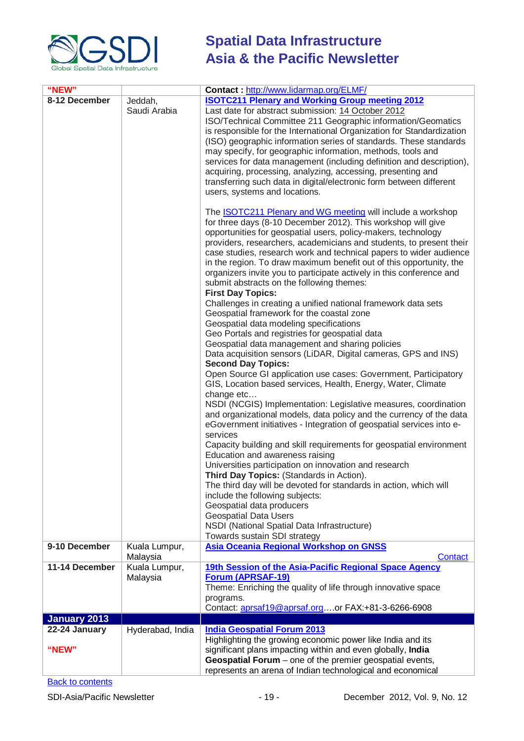

| "NEW"               |                           | Contact: http://www.lidarmap.org/ELMF/                                                                                                                                                                                                                                                                                                                                                                                                                                                                                                                                                                                                                                                                                                                                                                                                                                                                                                                                                                                                                                                                                                                                                                                                                                                                                                                                                                                                                                                                                                                                                                                                                                                                                                                                                                                                                                                                                                                           |  |
|---------------------|---------------------------|------------------------------------------------------------------------------------------------------------------------------------------------------------------------------------------------------------------------------------------------------------------------------------------------------------------------------------------------------------------------------------------------------------------------------------------------------------------------------------------------------------------------------------------------------------------------------------------------------------------------------------------------------------------------------------------------------------------------------------------------------------------------------------------------------------------------------------------------------------------------------------------------------------------------------------------------------------------------------------------------------------------------------------------------------------------------------------------------------------------------------------------------------------------------------------------------------------------------------------------------------------------------------------------------------------------------------------------------------------------------------------------------------------------------------------------------------------------------------------------------------------------------------------------------------------------------------------------------------------------------------------------------------------------------------------------------------------------------------------------------------------------------------------------------------------------------------------------------------------------------------------------------------------------------------------------------------------------|--|
| 8-12 December       |                           |                                                                                                                                                                                                                                                                                                                                                                                                                                                                                                                                                                                                                                                                                                                                                                                                                                                                                                                                                                                                                                                                                                                                                                                                                                                                                                                                                                                                                                                                                                                                                                                                                                                                                                                                                                                                                                                                                                                                                                  |  |
|                     | Jeddah,<br>Saudi Arabia   | <b>ISOTC211 Plenary and Working Group meeting 2012</b><br>Last date for abstract submission: 14 October 2012<br>ISO/Technical Committee 211 Geographic information/Geomatics<br>is responsible for the International Organization for Standardization<br>(ISO) geographic information series of standards. These standards<br>may specify, for geographic information, methods, tools and<br>services for data management (including definition and description),<br>acquiring, processing, analyzing, accessing, presenting and<br>transferring such data in digital/electronic form between different<br>users, systems and locations.<br>The <b>ISOTC211 Plenary and WG meeting will include a workshop</b><br>for three days (8-10 December 2012). This workshop will give<br>opportunities for geospatial users, policy-makers, technology<br>providers, researchers, academicians and students, to present their<br>case studies, research work and technical papers to wider audience<br>in the region. To draw maximum benefit out of this opportunity, the<br>organizers invite you to participate actively in this conference and<br>submit abstracts on the following themes:<br><b>First Day Topics:</b><br>Challenges in creating a unified national framework data sets<br>Geospatial framework for the coastal zone<br>Geospatial data modeling specifications<br>Geo Portals and registries for geospatial data<br>Geospatial data management and sharing policies<br>Data acquisition sensors (LiDAR, Digital cameras, GPS and INS)<br><b>Second Day Topics:</b><br>Open Source GI application use cases: Government, Participatory<br>GIS, Location based services, Health, Energy, Water, Climate<br>change etc<br>NSDI (NCGIS) Implementation: Legislative measures, coordination<br>and organizational models, data policy and the currency of the data<br>eGovernment initiatives - Integration of geospatial services into e-<br>services |  |
|                     |                           | Capacity building and skill requirements for geospatial environment<br>Education and awareness raising<br>Universities participation on innovation and research<br>Third Day Topics: (Standards in Action).                                                                                                                                                                                                                                                                                                                                                                                                                                                                                                                                                                                                                                                                                                                                                                                                                                                                                                                                                                                                                                                                                                                                                                                                                                                                                                                                                                                                                                                                                                                                                                                                                                                                                                                                                      |  |
|                     |                           | The third day will be devoted for standards in action, which will<br>include the following subjects:<br>Geospatial data producers<br><b>Geospatial Data Users</b><br>NSDI (National Spatial Data Infrastructure)                                                                                                                                                                                                                                                                                                                                                                                                                                                                                                                                                                                                                                                                                                                                                                                                                                                                                                                                                                                                                                                                                                                                                                                                                                                                                                                                                                                                                                                                                                                                                                                                                                                                                                                                                 |  |
|                     |                           | Towards sustain SDI strategy                                                                                                                                                                                                                                                                                                                                                                                                                                                                                                                                                                                                                                                                                                                                                                                                                                                                                                                                                                                                                                                                                                                                                                                                                                                                                                                                                                                                                                                                                                                                                                                                                                                                                                                                                                                                                                                                                                                                     |  |
| 9-10 December       | Kuala Lumpur,             | Asia Oceania Regional Workshop on GNSS                                                                                                                                                                                                                                                                                                                                                                                                                                                                                                                                                                                                                                                                                                                                                                                                                                                                                                                                                                                                                                                                                                                                                                                                                                                                                                                                                                                                                                                                                                                                                                                                                                                                                                                                                                                                                                                                                                                           |  |
|                     | Malaysia                  | <b>Contact</b>                                                                                                                                                                                                                                                                                                                                                                                                                                                                                                                                                                                                                                                                                                                                                                                                                                                                                                                                                                                                                                                                                                                                                                                                                                                                                                                                                                                                                                                                                                                                                                                                                                                                                                                                                                                                                                                                                                                                                   |  |
| 11-14 December      | Kuala Lumpur,<br>Malaysia | 19th Session of the Asia-Pacific Regional Space Agency<br><b>Forum (APRSAF-19)</b><br>Theme: Enriching the quality of life through innovative space<br>programs.<br>Contact: aprsaf19@aprsaf.orgor FAX:+81-3-6266-6908                                                                                                                                                                                                                                                                                                                                                                                                                                                                                                                                                                                                                                                                                                                                                                                                                                                                                                                                                                                                                                                                                                                                                                                                                                                                                                                                                                                                                                                                                                                                                                                                                                                                                                                                           |  |
| <b>January 2013</b> |                           |                                                                                                                                                                                                                                                                                                                                                                                                                                                                                                                                                                                                                                                                                                                                                                                                                                                                                                                                                                                                                                                                                                                                                                                                                                                                                                                                                                                                                                                                                                                                                                                                                                                                                                                                                                                                                                                                                                                                                                  |  |
| 22-24 January       | Hyderabad, India          | <b>India Geospatial Forum 2013</b>                                                                                                                                                                                                                                                                                                                                                                                                                                                                                                                                                                                                                                                                                                                                                                                                                                                                                                                                                                                                                                                                                                                                                                                                                                                                                                                                                                                                                                                                                                                                                                                                                                                                                                                                                                                                                                                                                                                               |  |
| "NEW"               |                           | Highlighting the growing economic power like India and its<br>significant plans impacting within and even globally, India<br>Geospatial Forum - one of the premier geospatial events,<br>represents an arena of Indian technological and economical                                                                                                                                                                                                                                                                                                                                                                                                                                                                                                                                                                                                                                                                                                                                                                                                                                                                                                                                                                                                                                                                                                                                                                                                                                                                                                                                                                                                                                                                                                                                                                                                                                                                                                              |  |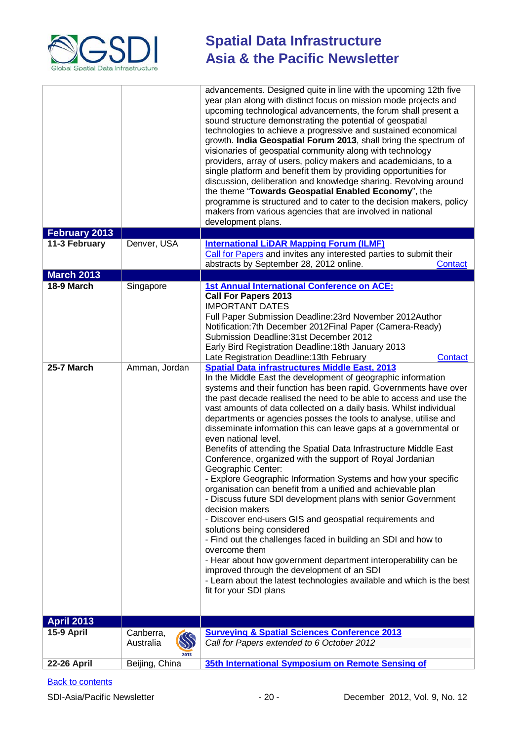

|                    |                                | advancements. Designed quite in line with the upcoming 12th five<br>year plan along with distinct focus on mission mode projects and<br>upcoming technological advancements, the forum shall present a<br>sound structure demonstrating the potential of geospatial<br>technologies to achieve a progressive and sustained economical<br>growth. India Geospatial Forum 2013, shall bring the spectrum of<br>visionaries of geospatial community along with technology<br>providers, array of users, policy makers and academicians, to a<br>single platform and benefit them by providing opportunities for<br>discussion, deliberation and knowledge sharing. Revolving around<br>the theme "Towards Geospatial Enabled Economy", the<br>programme is structured and to cater to the decision makers, policy<br>makers from various agencies that are involved in national<br>development plans.                                                                                                                                                                                                                                                                                                                                                                                |
|--------------------|--------------------------------|-----------------------------------------------------------------------------------------------------------------------------------------------------------------------------------------------------------------------------------------------------------------------------------------------------------------------------------------------------------------------------------------------------------------------------------------------------------------------------------------------------------------------------------------------------------------------------------------------------------------------------------------------------------------------------------------------------------------------------------------------------------------------------------------------------------------------------------------------------------------------------------------------------------------------------------------------------------------------------------------------------------------------------------------------------------------------------------------------------------------------------------------------------------------------------------------------------------------------------------------------------------------------------------|
| February 2013      |                                |                                                                                                                                                                                                                                                                                                                                                                                                                                                                                                                                                                                                                                                                                                                                                                                                                                                                                                                                                                                                                                                                                                                                                                                                                                                                                   |
| 11-3 February      | Denver, USA                    | <b>International LiDAR Mapping Forum (ILMF)</b><br>Call for Papers and invites any interested parties to submit their<br>abstracts by September 28, 2012 online.<br>Contact                                                                                                                                                                                                                                                                                                                                                                                                                                                                                                                                                                                                                                                                                                                                                                                                                                                                                                                                                                                                                                                                                                       |
| <b>March 2013</b>  |                                |                                                                                                                                                                                                                                                                                                                                                                                                                                                                                                                                                                                                                                                                                                                                                                                                                                                                                                                                                                                                                                                                                                                                                                                                                                                                                   |
| 18-9 March         | Singapore                      | <b>1st Annual International Conference on ACE:</b><br><b>Call For Papers 2013</b><br><b>IMPORTANT DATES</b><br>Full Paper Submission Deadline: 23rd November 2012Author<br>Notification: 7th December 2012 Final Paper (Camera-Ready)<br>Submission Deadline: 31st December 2012<br>Early Bird Registration Deadline: 18th January 2013<br>Late Registration Deadline: 13th February<br>Contact                                                                                                                                                                                                                                                                                                                                                                                                                                                                                                                                                                                                                                                                                                                                                                                                                                                                                   |
| 25-7 March         | Amman, Jordan                  | <b>Spatial Data infrastructures Middle East, 2013</b><br>In the Middle East the development of geographic information<br>systems and their function has been rapid. Governments have over<br>the past decade realised the need to be able to access and use the<br>vast amounts of data collected on a daily basis. Whilst individual<br>departments or agencies posses the tools to analyse, utilise and<br>disseminate information this can leave gaps at a governmental or<br>even national level.<br>Benefits of attending the Spatial Data Infrastructure Middle East<br>Conference, organized with the support of Royal Jordanian<br>Geographic Center:<br>- Explore Geographic Information Systems and how your specific<br>organisation can benefit from a unified and achievable plan<br>- Discuss future SDI development plans with senior Government<br>decision makers<br>- Discover end-users GIS and geospatial requirements and<br>solutions being considered<br>- Find out the challenges faced in building an SDI and how to<br>overcome them<br>- Hear about how government department interoperability can be<br>improved through the development of an SDI<br>- Learn about the latest technologies available and which is the best<br>fit for your SDI plans |
| <b>April 2013</b>  |                                |                                                                                                                                                                                                                                                                                                                                                                                                                                                                                                                                                                                                                                                                                                                                                                                                                                                                                                                                                                                                                                                                                                                                                                                                                                                                                   |
| 15-9 April         | Canberra,<br>Australia<br>2013 | <b>Surveying &amp; Spatial Sciences Conference 2013</b><br>Call for Papers extended to 6 October 2012                                                                                                                                                                                                                                                                                                                                                                                                                                                                                                                                                                                                                                                                                                                                                                                                                                                                                                                                                                                                                                                                                                                                                                             |
| <b>22-26 April</b> | Beijing, China                 | 35th International Symposium on Remote Sensing of                                                                                                                                                                                                                                                                                                                                                                                                                                                                                                                                                                                                                                                                                                                                                                                                                                                                                                                                                                                                                                                                                                                                                                                                                                 |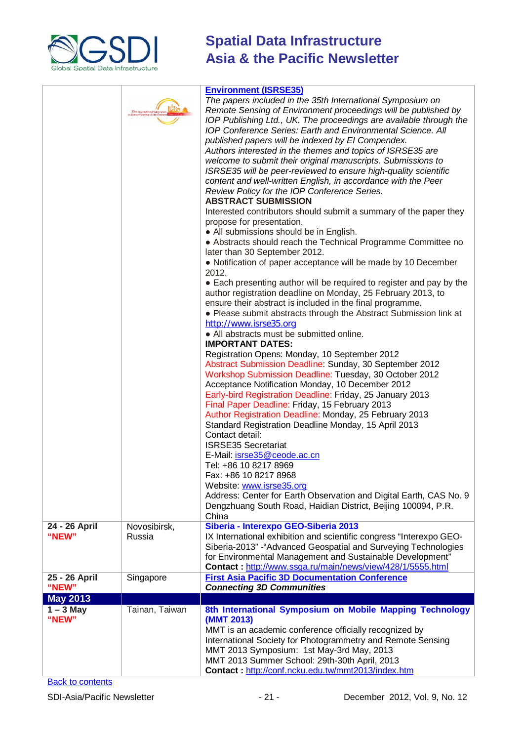

|                                | 35th International Symposiun<br>Remote Sensing of Environmer | <b>Environment (ISRSE35)</b><br>The papers included in the 35th International Symposium on<br>Remote Sensing of Environment proceedings will be published by<br>IOP Publishing Ltd., UK. The proceedings are available through the<br>IOP Conference Series: Earth and Environmental Science. All<br>published papers will be indexed by El Compendex.<br>Authors interested in the themes and topics of ISRSE35 are<br>welcome to submit their original manuscripts. Submissions to<br>ISRSE35 will be peer-reviewed to ensure high-quality scientific<br>content and well-written English, in accordance with the Peer<br>Review Policy for the IOP Conference Series.<br><b>ABSTRACT SUBMISSION</b><br>Interested contributors should submit a summary of the paper they<br>propose for presentation.<br>• All submissions should be in English.<br>• Abstracts should reach the Technical Programme Committee no<br>later than 30 September 2012.<br>• Notification of paper acceptance will be made by 10 December<br>2012.<br>• Each presenting author will be required to register and pay by the<br>author registration deadline on Monday, 25 February 2013, to<br>ensure their abstract is included in the final programme.<br>• Please submit abstracts through the Abstract Submission link at<br>http://www.isrse35.org<br>• All abstracts must be submitted online.<br><b>IMPORTANT DATES:</b><br>Registration Opens: Monday, 10 September 2012<br>Abstract Submission Deadline: Sunday, 30 September 2012<br>Workshop Submission Deadline: Tuesday, 30 October 2012<br>Acceptance Notification Monday, 10 December 2012<br>Early-bird Registration Deadline: Friday, 25 January 2013<br>Final Paper Deadline: Friday, 15 February 2013<br>Author Registration Deadline: Monday, 25 February 2013<br>Standard Registration Deadline Monday, 15 April 2013<br>Contact detail:<br><b>ISRSE35 Secretariat</b><br>E-Mail: isrse35@ceode.ac.cn<br>Tel: +86 10 8217 8969<br>Fax: +86 10 8217 8968<br>Website: www.isrse35.org<br>Address: Center for Earth Observation and Digital Earth, CAS No. 9<br>Dengzhuang South Road, Haidian District, Beijing 100094, P.R.<br>China |
|--------------------------------|--------------------------------------------------------------|---------------------------------------------------------------------------------------------------------------------------------------------------------------------------------------------------------------------------------------------------------------------------------------------------------------------------------------------------------------------------------------------------------------------------------------------------------------------------------------------------------------------------------------------------------------------------------------------------------------------------------------------------------------------------------------------------------------------------------------------------------------------------------------------------------------------------------------------------------------------------------------------------------------------------------------------------------------------------------------------------------------------------------------------------------------------------------------------------------------------------------------------------------------------------------------------------------------------------------------------------------------------------------------------------------------------------------------------------------------------------------------------------------------------------------------------------------------------------------------------------------------------------------------------------------------------------------------------------------------------------------------------------------------------------------------------------------------------------------------------------------------------------------------------------------------------------------------------------------------------------------------------------------------------------------------------------------------------------------------------------------------------------------------------------------------------------------------------------------------------------------------------------------------------------------------|
| 24 - 26 April<br>"NEW"         | Novosibirsk,<br>Russia                                       | Siberia - Interexpo GEO-Siberia 2013<br>IX International exhibition and scientific congress "Interexpo GEO-<br>Siberia-2013" - "Advanced Geospatial and Surveying Technologies<br>for Environmental Management and Sustainable Development"<br>Contact: http://www.ssga.ru/main/news/view/428/1/5555.html                                                                                                                                                                                                                                                                                                                                                                                                                                                                                                                                                                                                                                                                                                                                                                                                                                                                                                                                                                                                                                                                                                                                                                                                                                                                                                                                                                                                                                                                                                                                                                                                                                                                                                                                                                                                                                                                             |
| 25 - 26 April                  | Singapore                                                    | <b>First Asia Pacific 3D Documentation Conference</b>                                                                                                                                                                                                                                                                                                                                                                                                                                                                                                                                                                                                                                                                                                                                                                                                                                                                                                                                                                                                                                                                                                                                                                                                                                                                                                                                                                                                                                                                                                                                                                                                                                                                                                                                                                                                                                                                                                                                                                                                                                                                                                                                 |
| "NEW"                          |                                                              | <b>Connecting 3D Communities</b>                                                                                                                                                                                                                                                                                                                                                                                                                                                                                                                                                                                                                                                                                                                                                                                                                                                                                                                                                                                                                                                                                                                                                                                                                                                                                                                                                                                                                                                                                                                                                                                                                                                                                                                                                                                                                                                                                                                                                                                                                                                                                                                                                      |
| <b>May 2013</b><br>$1 - 3$ May | Tainan, Taiwan                                               | 8th International Symposium on Mobile Mapping Technology                                                                                                                                                                                                                                                                                                                                                                                                                                                                                                                                                                                                                                                                                                                                                                                                                                                                                                                                                                                                                                                                                                                                                                                                                                                                                                                                                                                                                                                                                                                                                                                                                                                                                                                                                                                                                                                                                                                                                                                                                                                                                                                              |
| "NEW"                          |                                                              | (MMT 2013)<br>MMT is an academic conference officially recognized by<br>International Society for Photogrammetry and Remote Sensing<br>MMT 2013 Symposium: 1st May-3rd May, 2013<br>MMT 2013 Summer School: 29th-30th April, 2013<br>Contact: http://conf.ncku.edu.tw/mmt2013/index.htm                                                                                                                                                                                                                                                                                                                                                                                                                                                                                                                                                                                                                                                                                                                                                                                                                                                                                                                                                                                                                                                                                                                                                                                                                                                                                                                                                                                                                                                                                                                                                                                                                                                                                                                                                                                                                                                                                               |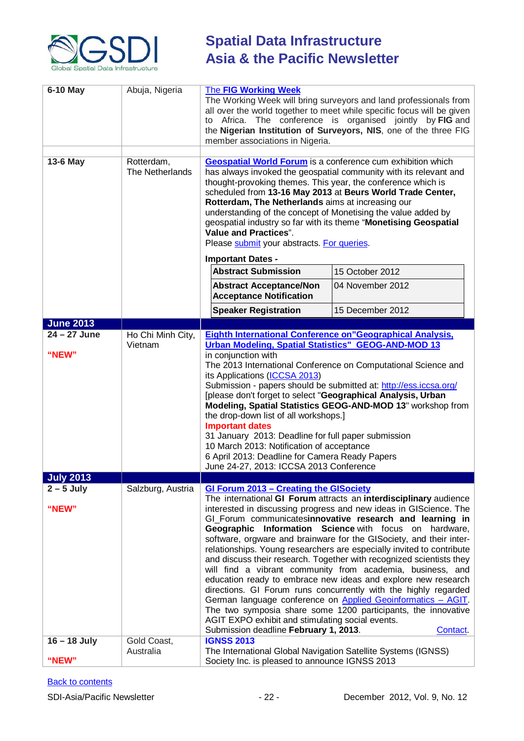

| 6-10 May<br>13-6 May                      | Abuja, Nigeria<br>Rotterdam,<br>The Netherlands | <b>The FIG Working Week</b><br>The Working Week will bring surveyors and land professionals from<br>all over the world together to meet while specific focus will be given<br>Africa. The conference is organised jointly by FIG and<br>to<br>the Nigerian Institution of Surveyors, NIS, one of the three FIG<br>member associations in Nigeria.<br><b>Geospatial World Forum</b> is a conference cum exhibition which<br>has always invoked the geospatial community with its relevant and<br>thought-provoking themes. This year, the conference which is<br>scheduled from 13-16 May 2013 at Beurs World Trade Center,<br>Rotterdam, The Netherlands aims at increasing our<br>understanding of the concept of Monetising the value added by<br>geospatial industry so far with its theme "Monetising Geospatial<br><b>Value and Practices".</b><br>Please submit your abstracts. For queries.                                                                                      |                  |
|-------------------------------------------|-------------------------------------------------|-----------------------------------------------------------------------------------------------------------------------------------------------------------------------------------------------------------------------------------------------------------------------------------------------------------------------------------------------------------------------------------------------------------------------------------------------------------------------------------------------------------------------------------------------------------------------------------------------------------------------------------------------------------------------------------------------------------------------------------------------------------------------------------------------------------------------------------------------------------------------------------------------------------------------------------------------------------------------------------------|------------------|
|                                           |                                                 | <b>Important Dates -</b><br><b>Abstract Submission</b>                                                                                                                                                                                                                                                                                                                                                                                                                                                                                                                                                                                                                                                                                                                                                                                                                                                                                                                                  | 15 October 2012  |
|                                           |                                                 | <b>Abstract Acceptance/Non</b><br><b>Acceptance Notification</b>                                                                                                                                                                                                                                                                                                                                                                                                                                                                                                                                                                                                                                                                                                                                                                                                                                                                                                                        | 04 November 2012 |
|                                           |                                                 | <b>Speaker Registration</b>                                                                                                                                                                                                                                                                                                                                                                                                                                                                                                                                                                                                                                                                                                                                                                                                                                                                                                                                                             | 15 December 2012 |
| <b>June 2013</b>                          |                                                 |                                                                                                                                                                                                                                                                                                                                                                                                                                                                                                                                                                                                                                                                                                                                                                                                                                                                                                                                                                                         |                  |
| 24 - 27 June<br>"NEW"<br><b>July 2013</b> | Ho Chi Minh City,<br>Vietnam                    | <b>Eighth International Conference on "Geographical Analysis,</b><br><b>Urban Modeling, Spatial Statistics" GEOG-AND-MOD 13</b><br>in conjunction with<br>The 2013 International Conference on Computational Science and<br>its Applications (ICCSA 2013)<br>Submission - papers should be submitted at: http://ess.iccsa.org/<br>[please don't forget to select "Geographical Analysis, Urban<br>Modeling, Spatial Statistics GEOG-AND-MOD 13" workshop from<br>the drop-down list of all workshops.]<br><b>Important dates</b><br>31 January 2013: Deadline for full paper submission<br>10 March 2013: Notification of acceptance<br>6 April 2013: Deadline for Camera Ready Papers<br>June 24-27, 2013: ICCSA 2013 Conference                                                                                                                                                                                                                                                       |                  |
| $2 - 5$ July                              | Salzburg, Austria                               |                                                                                                                                                                                                                                                                                                                                                                                                                                                                                                                                                                                                                                                                                                                                                                                                                                                                                                                                                                                         |                  |
| "NEW"                                     |                                                 | <b>GI Forum 2013 - Creating the GISociety</b><br>The international GI Forum attracts an interdisciplinary audience<br>interested in discussing progress and new ideas in GIScience. The<br>GI_Forum communicatesinnovative research and learning in<br>Geographic Information Science with focus on hardware,<br>software, orgware and brainware for the GISociety, and their inter-<br>relationships. Young researchers are especially invited to contribute<br>and discuss their research. Together with recognized scientists they<br>will find a vibrant community from academia, business, and<br>education ready to embrace new ideas and explore new research<br>directions. GI Forum runs concurrently with the highly regarded<br>German language conference on Applied Geoinformatics - AGIT.<br>The two symposia share some 1200 participants, the innovative<br>AGIT EXPO exhibit and stimulating social events.<br>Submission deadline February 1, 2013.<br><b>Contact</b> |                  |
| $16 - 18$ July<br>"NEW"                   | Gold Coast,<br>Australia                        | <b>IGNSS 2013</b><br>The International Global Navigation Satellite Systems (IGNSS)<br>Society Inc. is pleased to announce IGNSS 2013                                                                                                                                                                                                                                                                                                                                                                                                                                                                                                                                                                                                                                                                                                                                                                                                                                                    |                  |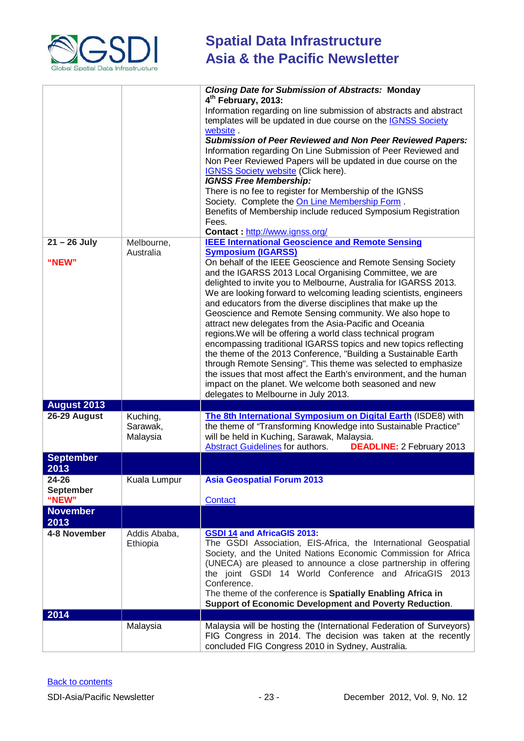

|                                    |                                  | <b>Closing Date for Submission of Abstracts: Monday</b><br>4 <sup>th</sup> February, 2013:<br>Information regarding on line submission of abstracts and abstract<br>templates will be updated in due course on the <b>IGNSS Society</b><br>website.<br><b>Submission of Peer Reviewed and Non Peer Reviewed Papers:</b><br>Information regarding On Line Submission of Peer Reviewed and<br>Non Peer Reviewed Papers will be updated in due course on the<br><b>IGNSS Society website (Click here).</b><br><b>IGNSS Free Membership:</b><br>There is no fee to register for Membership of the IGNSS<br>Society. Complete the On Line Membership Form.<br>Benefits of Membership include reduced Symposium Registration<br>Fees.<br>Contact: http://www.ignss.org/                                                                                                                                                                                                                            |
|------------------------------------|----------------------------------|----------------------------------------------------------------------------------------------------------------------------------------------------------------------------------------------------------------------------------------------------------------------------------------------------------------------------------------------------------------------------------------------------------------------------------------------------------------------------------------------------------------------------------------------------------------------------------------------------------------------------------------------------------------------------------------------------------------------------------------------------------------------------------------------------------------------------------------------------------------------------------------------------------------------------------------------------------------------------------------------|
| $21 - 26$ July<br>"NEW"            | Melbourne,<br>Australia          | <b>IEEE International Geoscience and Remote Sensing</b><br><b>Symposium (IGARSS)</b><br>On behalf of the IEEE Geoscience and Remote Sensing Society<br>and the IGARSS 2013 Local Organising Committee, we are<br>delighted to invite you to Melbourne, Australia for IGARSS 2013.<br>We are looking forward to welcoming leading scientists, engineers<br>and educators from the diverse disciplines that make up the<br>Geoscience and Remote Sensing community. We also hope to<br>attract new delegates from the Asia-Pacific and Oceania<br>regions. We will be offering a world class technical program<br>encompassing traditional IGARSS topics and new topics reflecting<br>the theme of the 2013 Conference, "Building a Sustainable Earth<br>through Remote Sensing". This theme was selected to emphasize<br>the issues that most affect the Earth's environment, and the human<br>impact on the planet. We welcome both seasoned and new<br>delegates to Melbourne in July 2013. |
| <b>August 2013</b>                 |                                  |                                                                                                                                                                                                                                                                                                                                                                                                                                                                                                                                                                                                                                                                                                                                                                                                                                                                                                                                                                                              |
| 26-29 August                       | Kuching,<br>Sarawak,<br>Malaysia | The 8th International Symposium on Digital Earth (ISDE8) with<br>the theme of "Transforming Knowledge into Sustainable Practice"<br>will be held in Kuching, Sarawak, Malaysia.<br><b>Abstract Guidelines</b> for authors.<br><b>DEADLINE: 2 February 2013</b>                                                                                                                                                                                                                                                                                                                                                                                                                                                                                                                                                                                                                                                                                                                               |
| <b>September</b><br>2013           |                                  |                                                                                                                                                                                                                                                                                                                                                                                                                                                                                                                                                                                                                                                                                                                                                                                                                                                                                                                                                                                              |
| 24-26<br><b>September</b><br>"NEW" | Kuala Lumpur                     | <b>Asia Geospatial Forum 2013</b><br>Contact                                                                                                                                                                                                                                                                                                                                                                                                                                                                                                                                                                                                                                                                                                                                                                                                                                                                                                                                                 |
| <b>November</b><br>2013            |                                  |                                                                                                                                                                                                                                                                                                                                                                                                                                                                                                                                                                                                                                                                                                                                                                                                                                                                                                                                                                                              |
| 4-8 November                       | Addis Ababa,<br>Ethiopia         | <b>GSDI 14 and AfricaGIS 2013:</b><br>The GSDI Association, EIS-Africa, the International Geospatial<br>Society, and the United Nations Economic Commission for Africa<br>(UNECA) are pleased to announce a close partnership in offering<br>the joint GSDI 14 World Conference and AfricaGIS 2013<br>Conference.<br>The theme of the conference is Spatially Enabling Africa in<br>Support of Economic Development and Poverty Reduction.                                                                                                                                                                                                                                                                                                                                                                                                                                                                                                                                                   |
| 2014                               |                                  |                                                                                                                                                                                                                                                                                                                                                                                                                                                                                                                                                                                                                                                                                                                                                                                                                                                                                                                                                                                              |
|                                    | Malaysia                         | Malaysia will be hosting the (International Federation of Surveyors)<br>FIG Congress in 2014. The decision was taken at the recently<br>concluded FIG Congress 2010 in Sydney, Australia.                                                                                                                                                                                                                                                                                                                                                                                                                                                                                                                                                                                                                                                                                                                                                                                                    |